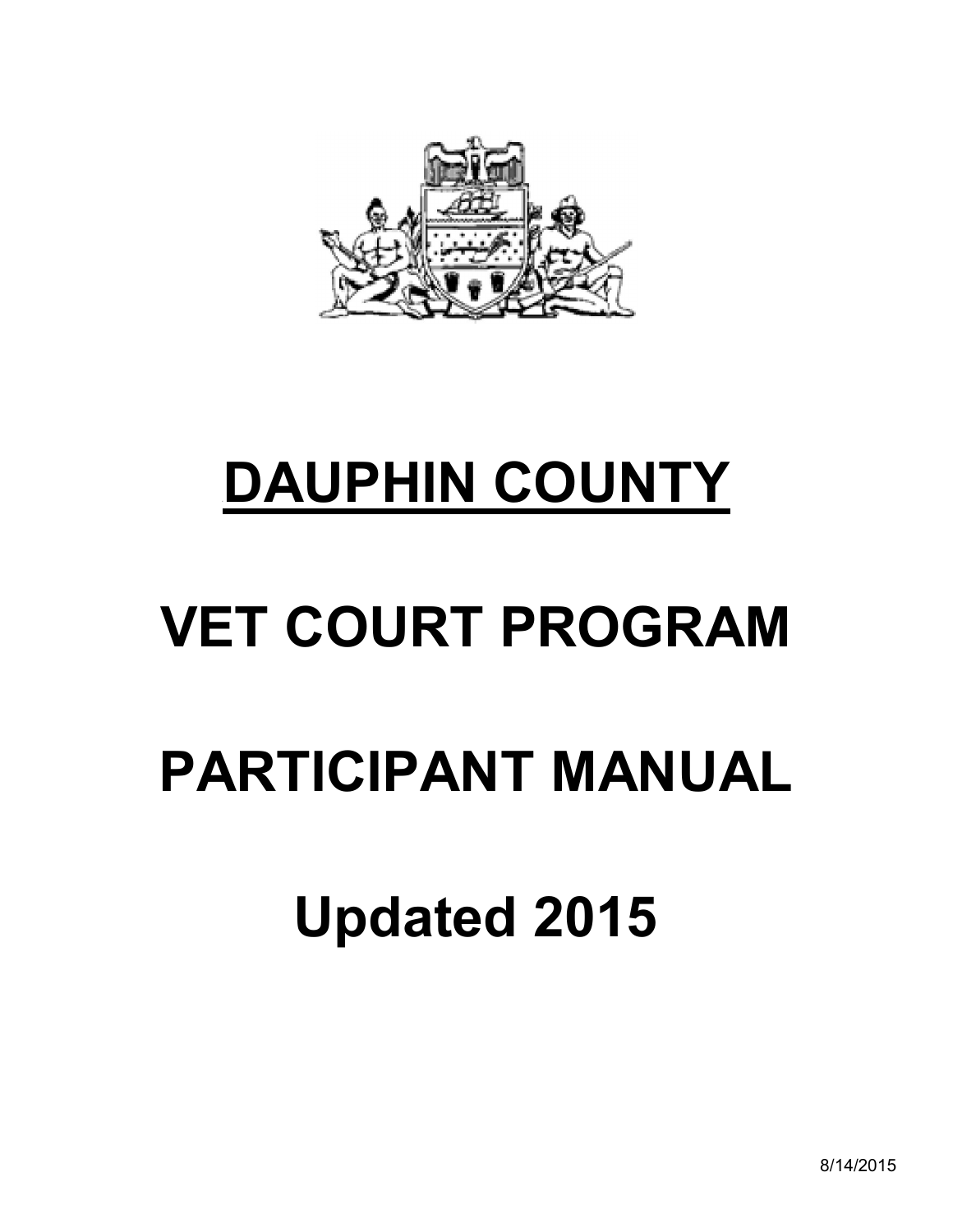

# <sup>U</sup>**DAUPHIN COUNTY**

# **VET COURT PROGRAM**

## **PARTICIPANT MANUAL**

## **Updated 2015**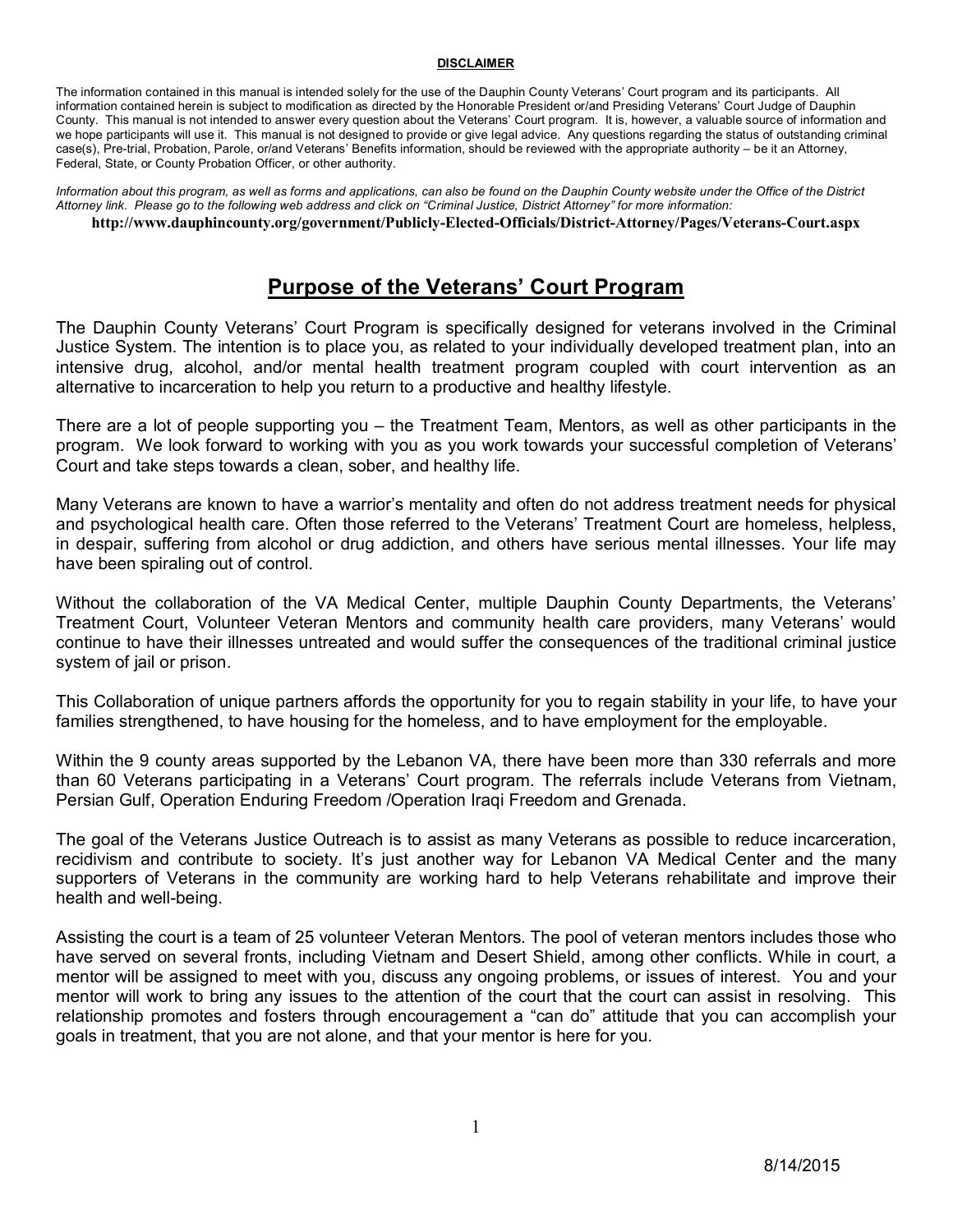#### **DISCLAIMER**

The information contained in this manual is intended solely for the use of the Dauphin County Veterans' Court program and its participants. All information contained herein is subject to modification as directed by the Honorable President or/and Presiding Veterans' Court Judge of Dauphin County. This manual is not intended to answer every question about the Veterans' Court program. It is, however, a valuable source of information and we hope participants will use it. This manual is not designed to provide or give legal advice. Any questions regarding the status of outstanding criminal case(s), Pre-trial, Probation, Parole, or/and Veterans' Benefits information, should be reviewed with the appropriate authority – be it an Attorney, Federal, State, or County Probation Officer, or other authority.

*Information about this program, as well as forms and applications, can also be found on the Dauphin County website under the Office of the District Attorney link. Please go to the following web address and click on "Criminal Justice, District Attorney" for more information:* **http://www.dauphincounty.org/government/Publicly-Elected-Officials/District-Attorney/Pages/Veterans-Court.aspx**

## **Purpose of the Veterans' Court Program**

The Dauphin County Veterans' Court Program is specifically designed for veterans involved in the Criminal Justice System. The intention is to place you, as related to your individually developed treatment plan, into an intensive drug, alcohol, and/or mental health treatment program coupled with court intervention as an alternative to incarceration to help you return to a productive and healthy lifestyle.

There are a lot of people supporting you – the Treatment Team, Mentors, as well as other participants in the program. We look forward to working with you as you work towards your successful completion of Veterans' Court and take steps towards a clean, sober, and healthy life.

Many Veterans are known to have a warrior's mentality and often do not address treatment needs for physical and psychological health care. Often those referred to the Veterans' Treatment Court are homeless, helpless, in despair, suffering from alcohol or drug addiction, and others have serious mental illnesses. Your life may have been spiraling out of control.

Without the collaboration of the VA Medical Center, multiple Dauphin County Departments, the Veterans' Treatment Court, Volunteer Veteran Mentors and community health care providers, many Veterans' would continue to have their illnesses untreated and would suffer the consequences of the traditional criminal justice system of jail or prison.

This Collaboration of unique partners affords the opportunity for you to regain stability in your life, to have your families strengthened, to have housing for the homeless, and to have employment for the employable.

Within the 9 county areas supported by the Lebanon VA, there have been more than 330 referrals and more than 60 Veterans participating in a Veterans' Court program. The referrals include Veterans from Vietnam, Persian Gulf, Operation Enduring Freedom /Operation Iraqi Freedom and Grenada.

The goal of the Veterans Justice Outreach is to assist as many Veterans as possible to reduce incarceration, recidivism and contribute to society. It's just another way for Lebanon VA Medical Center and the many supporters of Veterans in the community are working hard to help Veterans rehabilitate and improve their health and well-being.

Assisting the court is a team of 25 volunteer Veteran Mentors. The pool of veteran mentors includes those who have served on several fronts, including Vietnam and Desert Shield, among other conflicts. While in court, a mentor will be assigned to meet with you, discuss any ongoing problems, or issues of interest. You and your mentor will work to bring any issues to the attention of the court that the court can assist in resolving. This relationship promotes and fosters through encouragement a "can do" attitude that you can accomplish your goals in treatment, that you are not alone, and that your mentor is here for you.

8/14/2015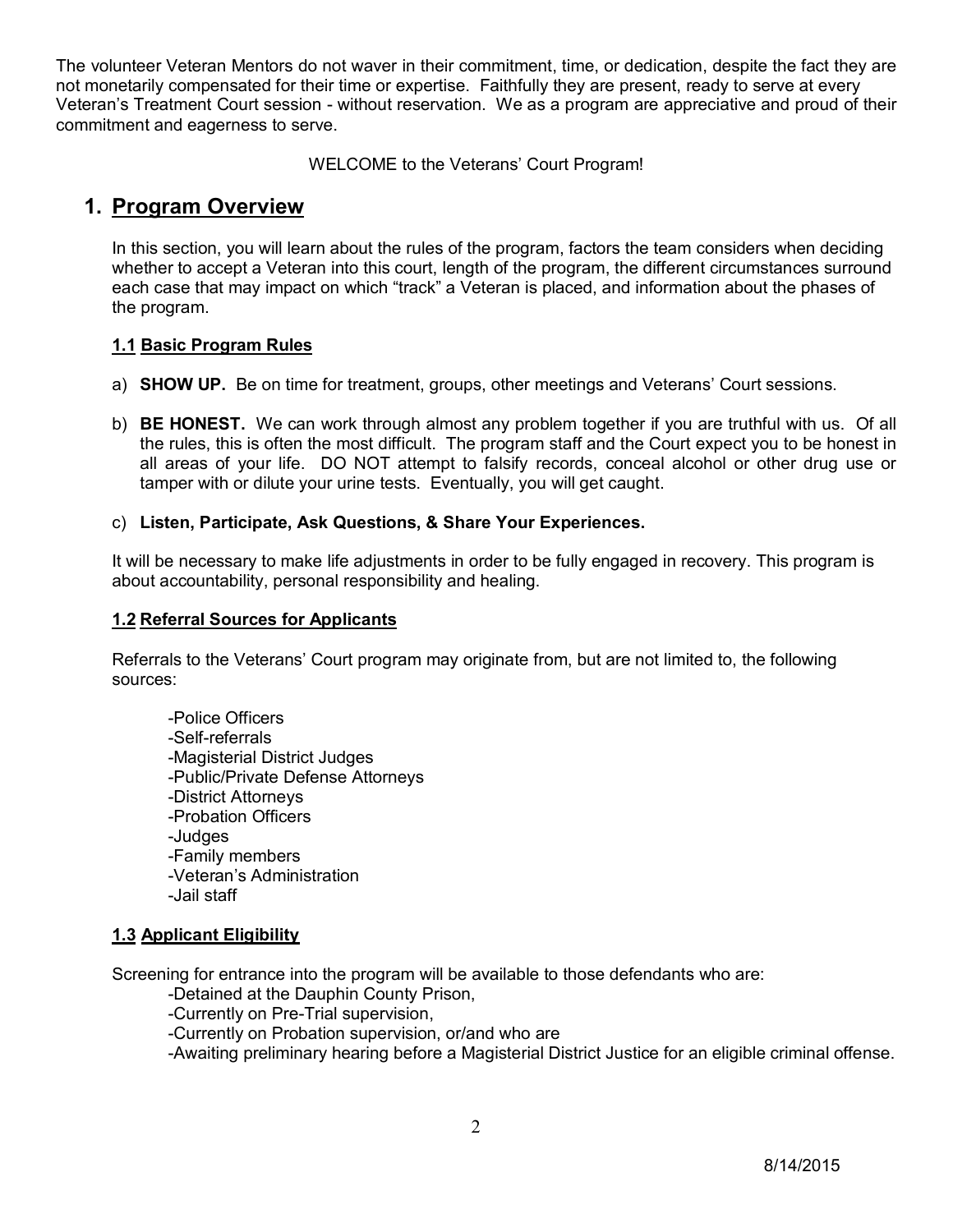The volunteer Veteran Mentors do not waver in their commitment, time, or dedication, despite the fact they are not monetarily compensated for their time or expertise. Faithfully they are present, ready to serve at every Veteran's Treatment Court session - without reservation. We as a program are appreciative and proud of their commitment and eagerness to serve.

WELCOME to the Veterans' Court Program!

## **1. Program Overview**

In this section, you will learn about the rules of the program, factors the team considers when deciding whether to accept a Veteran into this court, length of the program, the different circumstances surround each case that may impact on which "track" a Veteran is placed, and information about the phases of the program.

#### **1.1 Basic Program Rules**

- a) **SHOW UP.** Be on time for treatment, groups, other meetings and Veterans' Court sessions.
- b) **BE HONEST.** We can work through almost any problem together if you are truthful with us. Of all the rules, this is often the most difficult. The program staff and the Court expect you to be honest in all areas of your life. DO NOT attempt to falsify records, conceal alcohol or other drug use or tamper with or dilute your urine tests. Eventually, you will get caught.

#### c) **Listen, Participate, Ask Questions, & Share Your Experiences.**

It will be necessary to make life adjustments in order to be fully engaged in recovery. This program is about accountability, personal responsibility and healing.

#### **1.2 Referral Sources for Applicants**

Referrals to the Veterans' Court program may originate from, but are not limited to, the following sources:

-Police Officers -Self-referrals -Magisterial District Judges -Public/Private Defense Attorneys -District Attorneys -Probation Officers -Judges -Family members -Veteran's Administration -Jail staff

#### **1.3 Applicant Eligibility**

Screening for entrance into the program will be available to those defendants who are:

-Detained at the Dauphin County Prison,

-Currently on Pre-Trial supervision,

-Currently on Probation supervision, or/and who are

-Awaiting preliminary hearing before a Magisterial District Justice for an eligible criminal offense.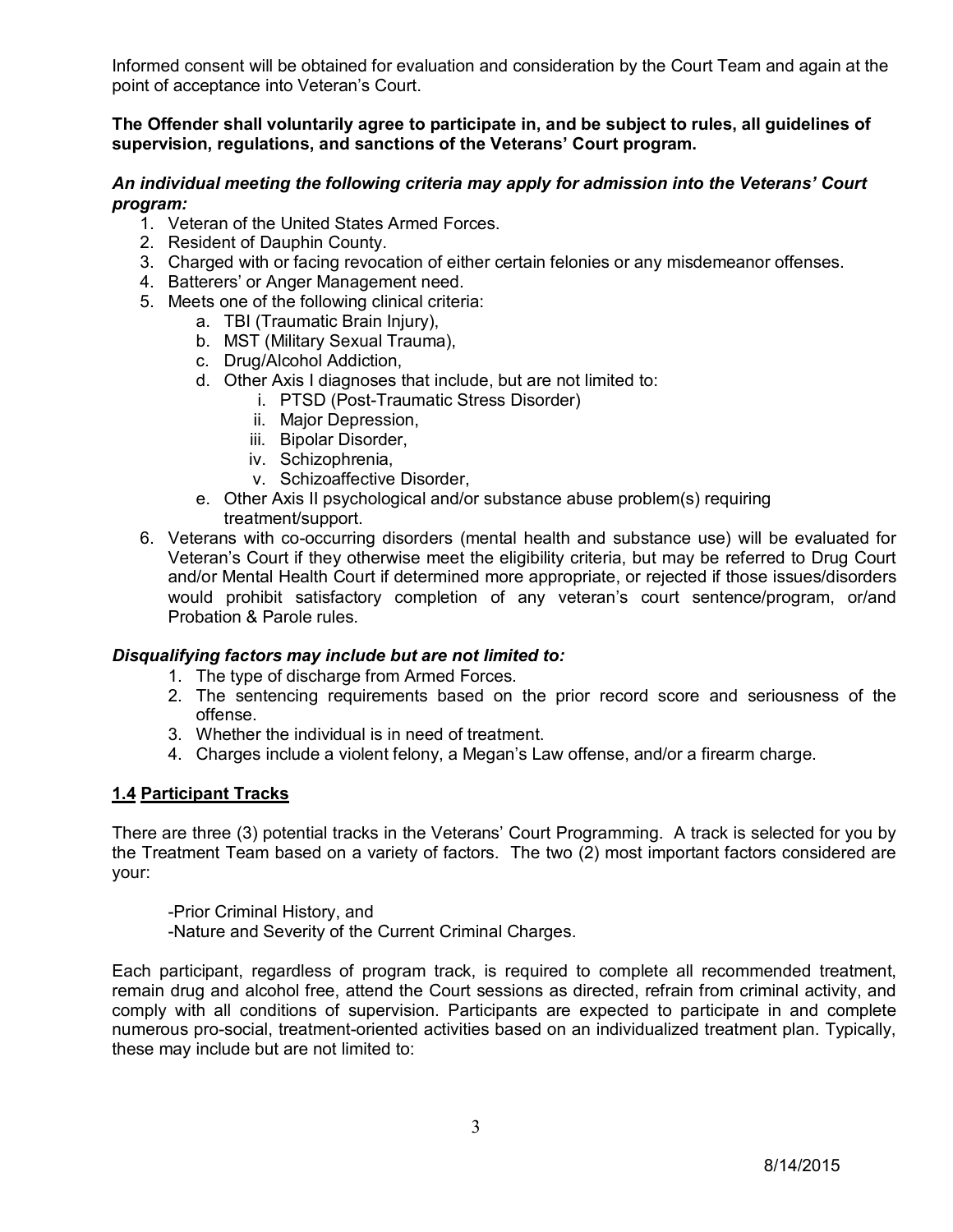Informed consent will be obtained for evaluation and consideration by the Court Team and again at the point of acceptance into Veteran's Court.

#### **The Offender shall voluntarily agree to participate in, and be subject to rules, all guidelines of supervision, regulations, and sanctions of the Veterans' Court program.**

#### *An individual meeting the following criteria may apply for admission into the Veterans' Court program:*

- 1. Veteran of the United States Armed Forces.
- 2. Resident of Dauphin County.
- 3. Charged with or facing revocation of either certain felonies or any misdemeanor offenses.
- 4. Batterers' or Anger Management need.
- 5. Meets one of the following clinical criteria:
	- a. TBI (Traumatic Brain Injury),
	- b. MST (Military Sexual Trauma),
	- c. Drug/Alcohol Addiction,
	- d. Other Axis I diagnoses that include, but are not limited to:
		- i. PTSD (Post-Traumatic Stress Disorder)
		- ii. Major Depression,
		- iii. Bipolar Disorder,
		- iv. Schizophrenia,
		- v. Schizoaffective Disorder,
	- e. Other Axis II psychological and/or substance abuse problem(s) requiring treatment/support.
- 6. Veterans with co-occurring disorders (mental health and substance use) will be evaluated for Veteran's Court if they otherwise meet the eligibility criteria, but may be referred to Drug Court and/or Mental Health Court if determined more appropriate, or rejected if those issues/disorders would prohibit satisfactory completion of any veteran's court sentence/program, or/and Probation & Parole rules.

#### *Disqualifying factors may include but are not limited to:*

- 1. The type of discharge from Armed Forces.
- 2. The sentencing requirements based on the prior record score and seriousness of the offense.
- 3. Whether the individual is in need of treatment.
- 4. Charges include a violent felony, a Megan's Law offense, and/or a firearm charge.

#### **1.4 Participant Tracks**

There are three (3) potential tracks in the Veterans' Court Programming. A track is selected for you by the Treatment Team based on a variety of factors. The two (2) most important factors considered are your:

-Prior Criminal History, and -Nature and Severity of the Current Criminal Charges.

Each participant, regardless of program track, is required to complete all recommended treatment, remain drug and alcohol free, attend the Court sessions as directed, refrain from criminal activity, and comply with all conditions of supervision. Participants are expected to participate in and complete numerous pro-social, treatment-oriented activities based on an individualized treatment plan. Typically, these may include but are not limited to: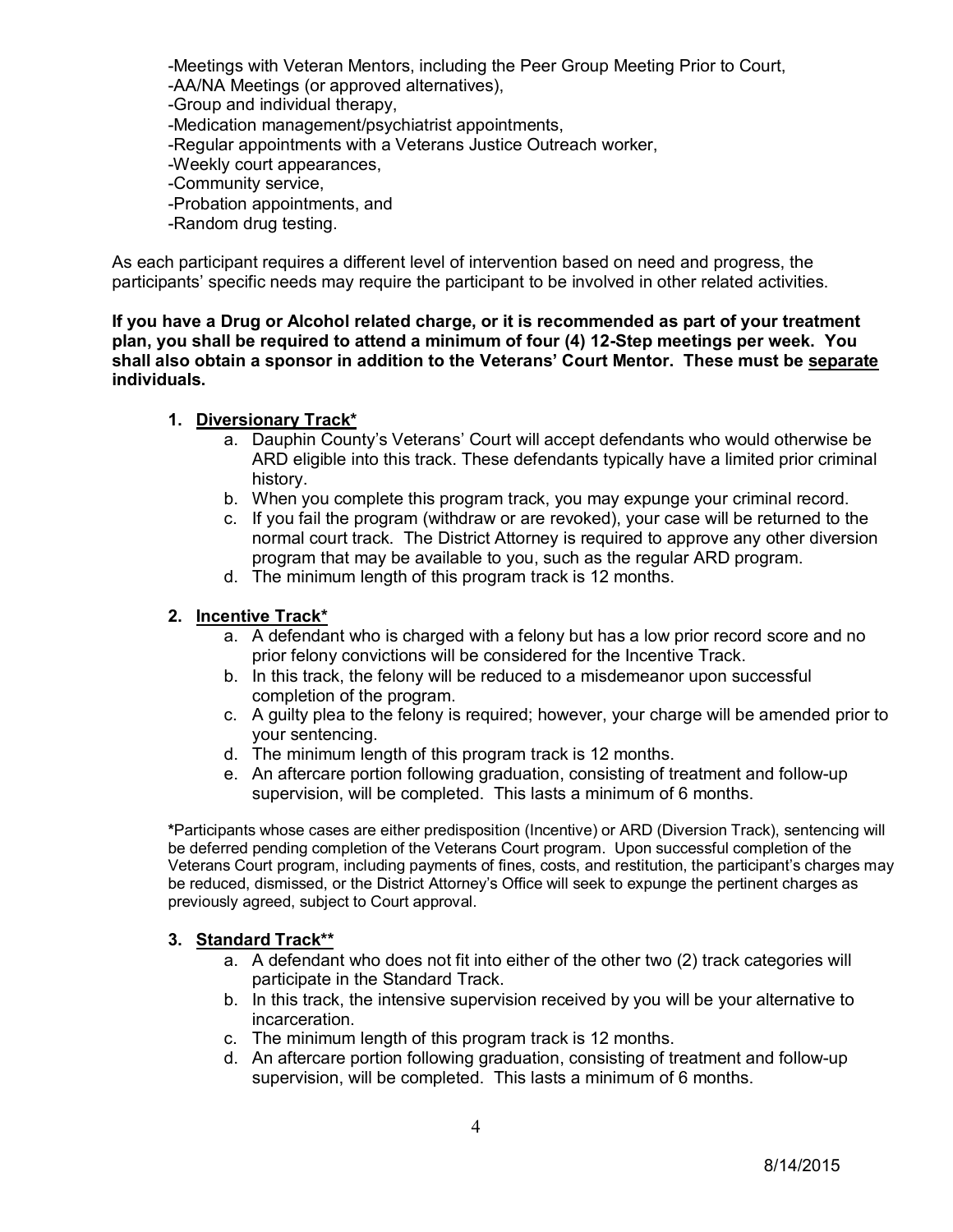-Meetings with Veteran Mentors, including the Peer Group Meeting Prior to Court, -AA/NA Meetings (or approved alternatives), -Group and individual therapy, -Medication management/psychiatrist appointments, -Regular appointments with a Veterans Justice Outreach worker, -Weekly court appearances, -Community service, -Probation appointments, and -Random drug testing.

As each participant requires a different level of intervention based on need and progress, the participants' specific needs may require the participant to be involved in other related activities.

**If you have a Drug or Alcohol related charge, or it is recommended as part of your treatment plan, you shall be required to attend a minimum of four (4) 12-Step meetings per week. You shall also obtain a sponsor in addition to the Veterans' Court Mentor. These must be separate individuals.** 

#### **1. Diversionary Track\***

- a. Dauphin County's Veterans' Court will accept defendants who would otherwise be ARD eligible into this track. These defendants typically have a limited prior criminal history.
- b. When you complete this program track, you may expunge your criminal record.
- c. If you fail the program (withdraw or are revoked), your case will be returned to the normal court track. The District Attorney is required to approve any other diversion program that may be available to you, such as the regular ARD program.
- d. The minimum length of this program track is 12 months.

#### **2. Incentive Track\***

- a. A defendant who is charged with a felony but has a low prior record score and no prior felony convictions will be considered for the Incentive Track.
- b. In this track, the felony will be reduced to a misdemeanor upon successful completion of the program.
- c. A guilty plea to the felony is required; however, your charge will be amended prior to your sentencing.
- d. The minimum length of this program track is 12 months.
- e. An aftercare portion following graduation, consisting of treatment and follow-up supervision, will be completed. This lasts a minimum of 6 months.

**\***Participants whose cases are either predisposition (Incentive) or ARD (Diversion Track), sentencing will be deferred pending completion of the Veterans Court program. Upon successful completion of the Veterans Court program, including payments of fines, costs, and restitution, the participant's charges may be reduced, dismissed, or the District Attorney's Office will seek to expunge the pertinent charges as previously agreed, subject to Court approval.

#### **3. Standard Track\*\***

- a. A defendant who does not fit into either of the other two (2) track categories will participate in the Standard Track.
- b. In this track, the intensive supervision received by you will be your alternative to incarceration.
- c. The minimum length of this program track is 12 months.
- d. An aftercare portion following graduation, consisting of treatment and follow-up supervision, will be completed. This lasts a minimum of 6 months.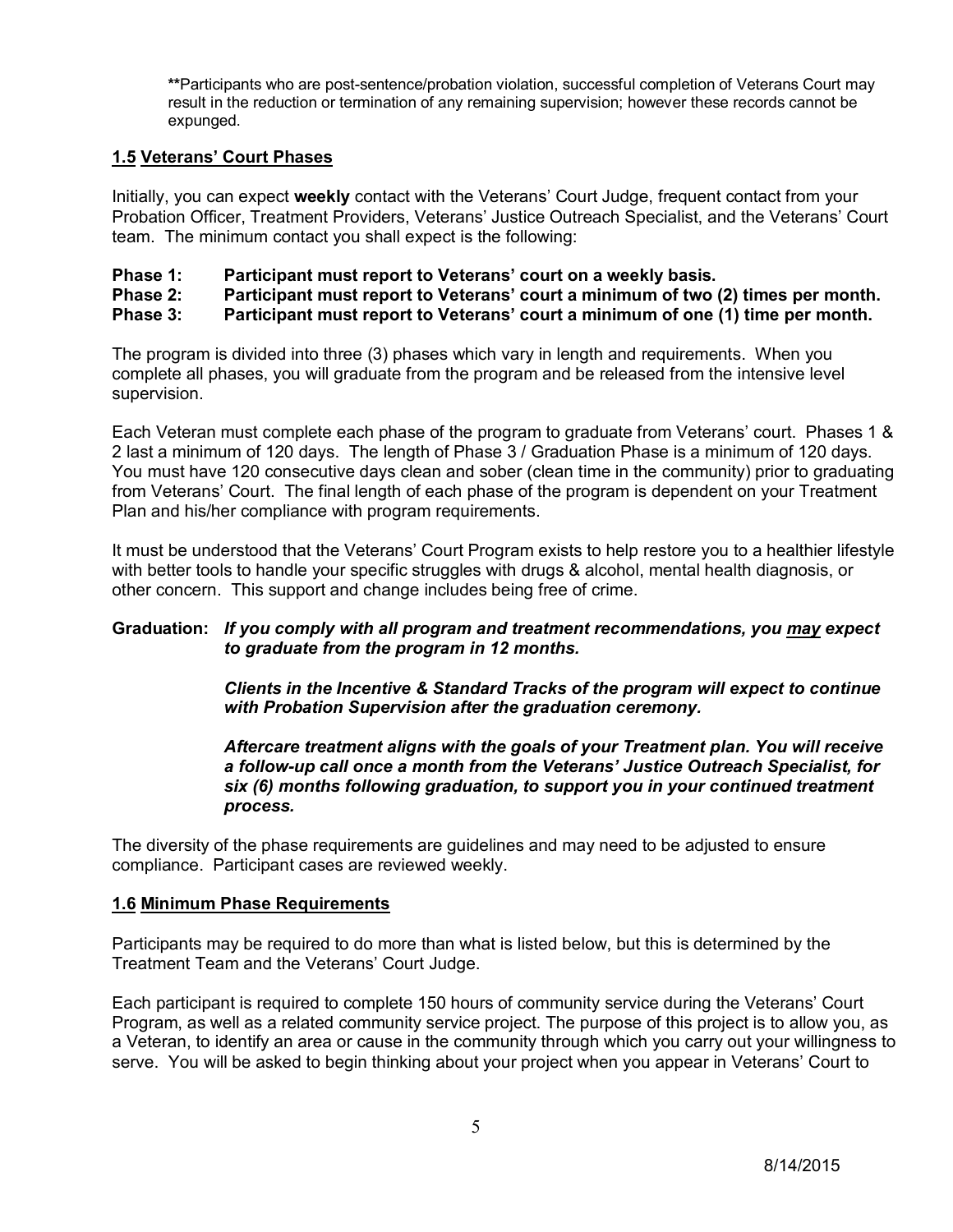**\*\***Participants who are post-sentence/probation violation, successful completion of Veterans Court may result in the reduction or termination of any remaining supervision; however these records cannot be expunged.

#### **1.5 Veterans' Court Phases**

Initially, you can expect **weekly** contact with the Veterans' Court Judge, frequent contact from your Probation Officer, Treatment Providers, Veterans' Justice Outreach Specialist, and the Veterans' Court team. The minimum contact you shall expect is the following:

- **Phase 1: Participant must report to Veterans' court on a weekly basis.**
- **Phase 2: Participant must report to Veterans' court a minimum of two (2) times per month.**
- **Phase 3: Participant must report to Veterans' court a minimum of one (1) time per month.**

The program is divided into three (3) phases which vary in length and requirements. When you complete all phases, you will graduate from the program and be released from the intensive level supervision.

Each Veteran must complete each phase of the program to graduate from Veterans' court. Phases 1 & 2 last a minimum of 120 days. The length of Phase 3 / Graduation Phase is a minimum of 120 days. You must have 120 consecutive days clean and sober (clean time in the community) prior to graduating from Veterans' Court. The final length of each phase of the program is dependent on your Treatment Plan and his/her compliance with program requirements.

It must be understood that the Veterans' Court Program exists to help restore you to a healthier lifestyle with better tools to handle your specific struggles with drugs & alcohol, mental health diagnosis, or other concern. This support and change includes being free of crime.

#### **Graduation:** *If you comply with all program and treatment recommendations, you may expect to graduate from the program in 12 months.*

*Clients in the Incentive & Standard Tracks of the program will expect to continue with Probation Supervision after the graduation ceremony.*

#### *Aftercare treatment aligns with the goals of your Treatment plan. You will receive a follow-up call once a month from the Veterans' Justice Outreach Specialist, for six (6) months following graduation, to support you in your continued treatment process.*

The diversity of the phase requirements are guidelines and may need to be adjusted to ensure compliance. Participant cases are reviewed weekly.

#### **1.6 Minimum Phase Requirements**

Participants may be required to do more than what is listed below, but this is determined by the Treatment Team and the Veterans' Court Judge.

Each participant is required to complete 150 hours of community service during the Veterans' Court Program, as well as a related community service project. The purpose of this project is to allow you, as a Veteran, to identify an area or cause in the community through which you carry out your willingness to serve. You will be asked to begin thinking about your project when you appear in Veterans' Court to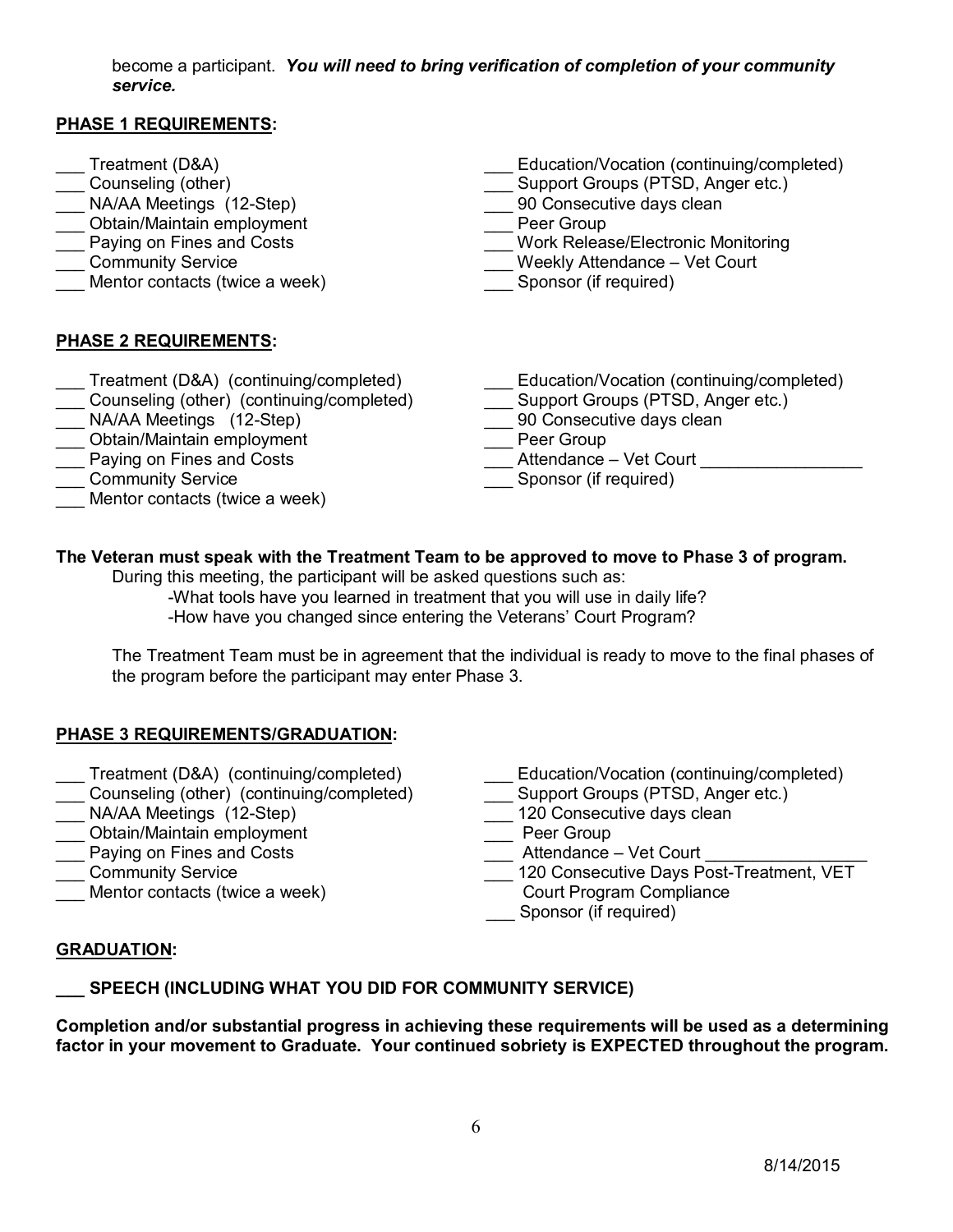become a participant. *You will need to bring verification of completion of your community service.*

#### **PHASE 1 REQUIREMENTS:**

- \_\_\_ Treatment (D&A)
- \_\_\_ Counseling (other)
- \_\_\_ NA/AA Meetings (12-Step)
- \_\_\_ Obtain/Maintain employment
- **Lace Paying on Fines and Costs**
- \_\_\_ Community Service
- Mentor contacts (twice a week)
- \_\_\_ Education/Vocation (continuing/completed)
- \_\_\_ Support Groups (PTSD, Anger etc.)
- 90 Consecutive days clean
- Peer Group
- \_\_\_ Work Release/Electronic Monitoring
- \_\_\_ Weekly Attendance Vet Court
- Sponsor (if required)

## **PHASE 2 REQUIREMENTS:**

- Treatment (D&A) (continuing/completed)
- \_\_\_ Counseling (other) (continuing/completed)
- NA/AA Meetings (12-Step)
- \_\_\_ Obtain/Maintain employment
- $\frac{1}{\sqrt{2}}$  Paying on Fines and Costs
- \_\_\_ Community Service
- Mentor contacts (twice a week)
- \_\_\_ Education/Vocation (continuing/completed)
- \_\_\_ Support Groups (PTSD, Anger etc.)
- 90 Consecutive days clean
- \_\_\_ Peer Group
- \_\_\_ Attendance Vet Court \_\_\_\_\_\_\_\_\_\_\_\_\_\_\_\_\_
- \_\_\_ Sponsor (if required)

## **The Veteran must speak with the Treatment Team to be approved to move to Phase 3 of program.**

During this meeting, the participant will be asked questions such as:

-What tools have you learned in treatment that you will use in daily life? -How have you changed since entering the Veterans' Court Program?

The Treatment Team must be in agreement that the individual is ready to move to the final phases of the program before the participant may enter Phase 3.

## **PHASE 3 REQUIREMENTS/GRADUATION:**

- Treatment (D&A) (continuing/completed)
- \_\_\_ Counseling (other) (continuing/completed)
- \_\_\_ NA/AA Meetings (12-Step)
- \_\_\_ Obtain/Maintain employment
- \_\_\_ Paying on Fines and Costs
- \_\_\_ Community Service
- Mentor contacts (twice a week)
- Education/Vocation (continuing/completed)
- \_\_\_ Support Groups (PTSD, Anger etc.)
- \_\_\_ 120 Consecutive davs clean
- \_\_\_ Peer Group
- $\frac{1}{\sqrt{2}}$  Attendance Vet Court
- \_\_\_ 120 Consecutive Days Post-Treatment, VET
- Court Program Compliance
- \_\_\_ Sponsor (if required)

#### **GRADUATION:**

*\_\_\_* **SPEECH (INCLUDING WHAT YOU DID FOR COMMUNITY SERVICE)**

**Completion and/or substantial progress in achieving these requirements will be used as a determining factor in your movement to Graduate. Your continued sobriety is EXPECTED throughout the program.**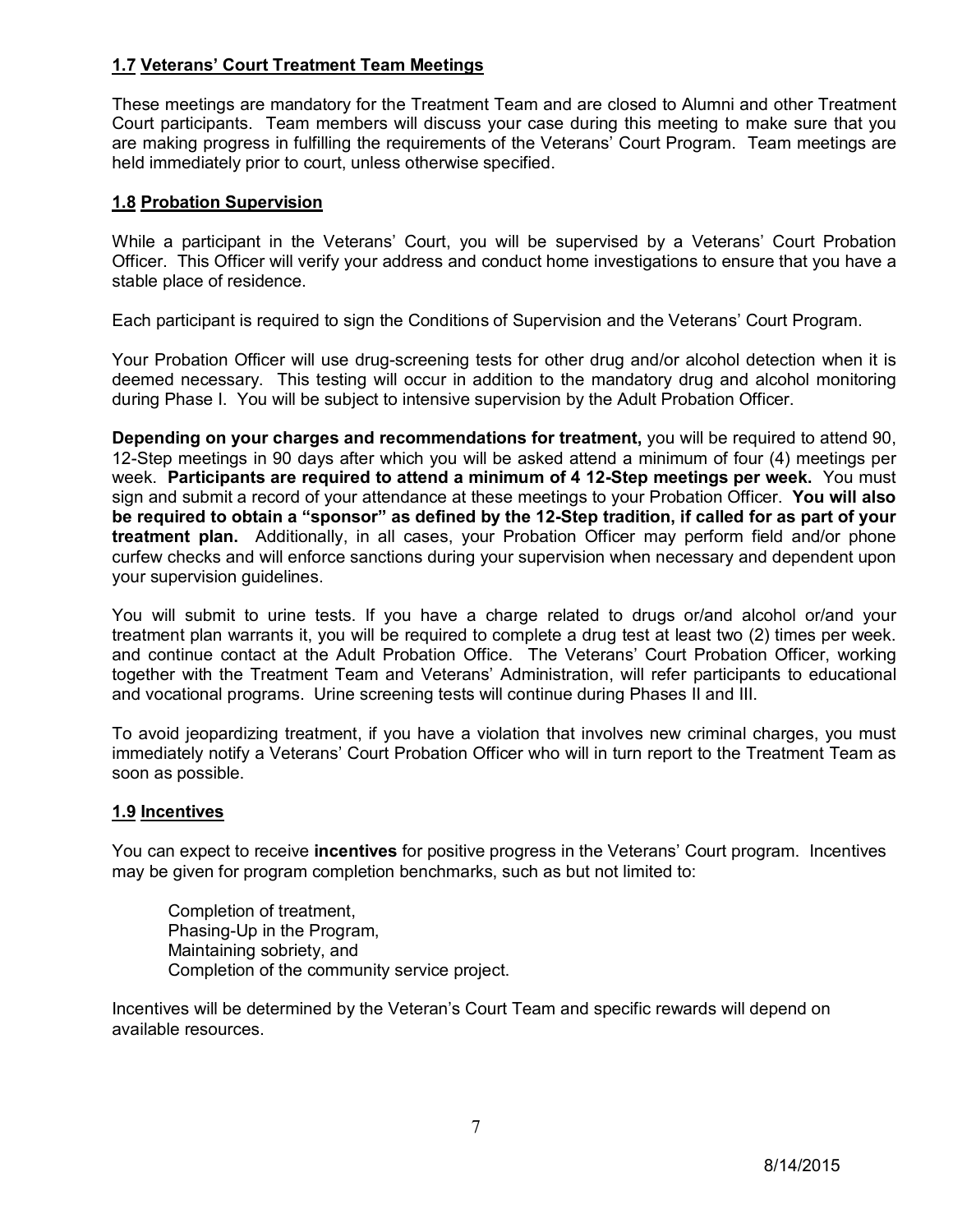### **1.7 Veterans' Court Treatment Team Meetings**

These meetings are mandatory for the Treatment Team and are closed to Alumni and other Treatment Court participants. Team members will discuss your case during this meeting to make sure that you are making progress in fulfilling the requirements of the Veterans' Court Program. Team meetings are held immediately prior to court, unless otherwise specified.

#### **1.8 Probation Supervision**

While a participant in the Veterans' Court, you will be supervised by a Veterans' Court Probation Officer. This Officer will verify your address and conduct home investigations to ensure that you have a stable place of residence.

Each participant is required to sign the Conditions of Supervision and the Veterans' Court Program.

Your Probation Officer will use drug-screening tests for other drug and/or alcohol detection when it is deemed necessary. This testing will occur in addition to the mandatory drug and alcohol monitoring during Phase I. You will be subject to intensive supervision by the Adult Probation Officer.

**Depending on your charges and recommendations for treatment,** you will be required to attend 90, 12-Step meetings in 90 days after which you will be asked attend a minimum of four (4) meetings per week. **Participants are required to attend a minimum of 4 12-Step meetings per week.** You must sign and submit a record of your attendance at these meetings to your Probation Officer. **You will also be required to obtain a "sponsor" as defined by the 12-Step tradition, if called for as part of your treatment plan.** Additionally, in all cases, your Probation Officer may perform field and/or phone curfew checks and will enforce sanctions during your supervision when necessary and dependent upon your supervision guidelines.

You will submit to urine tests. If you have a charge related to drugs or/and alcohol or/and your treatment plan warrants it, you will be required to complete a drug test at least two (2) times per week. and continue contact at the Adult Probation Office. The Veterans' Court Probation Officer, working together with the Treatment Team and Veterans' Administration, will refer participants to educational and vocational programs. Urine screening tests will continue during Phases II and III.

To avoid jeopardizing treatment, if you have a violation that involves new criminal charges, you must immediately notify a Veterans' Court Probation Officer who will in turn report to the Treatment Team as soon as possible.

#### **1.9 Incentives**

You can expect to receive **incentives** for positive progress in the Veterans' Court program. Incentives may be given for program completion benchmarks, such as but not limited to:

Completion of treatment, Phasing-Up in the Program, Maintaining sobriety, and Completion of the community service project.

Incentives will be determined by the Veteran's Court Team and specific rewards will depend on available resources.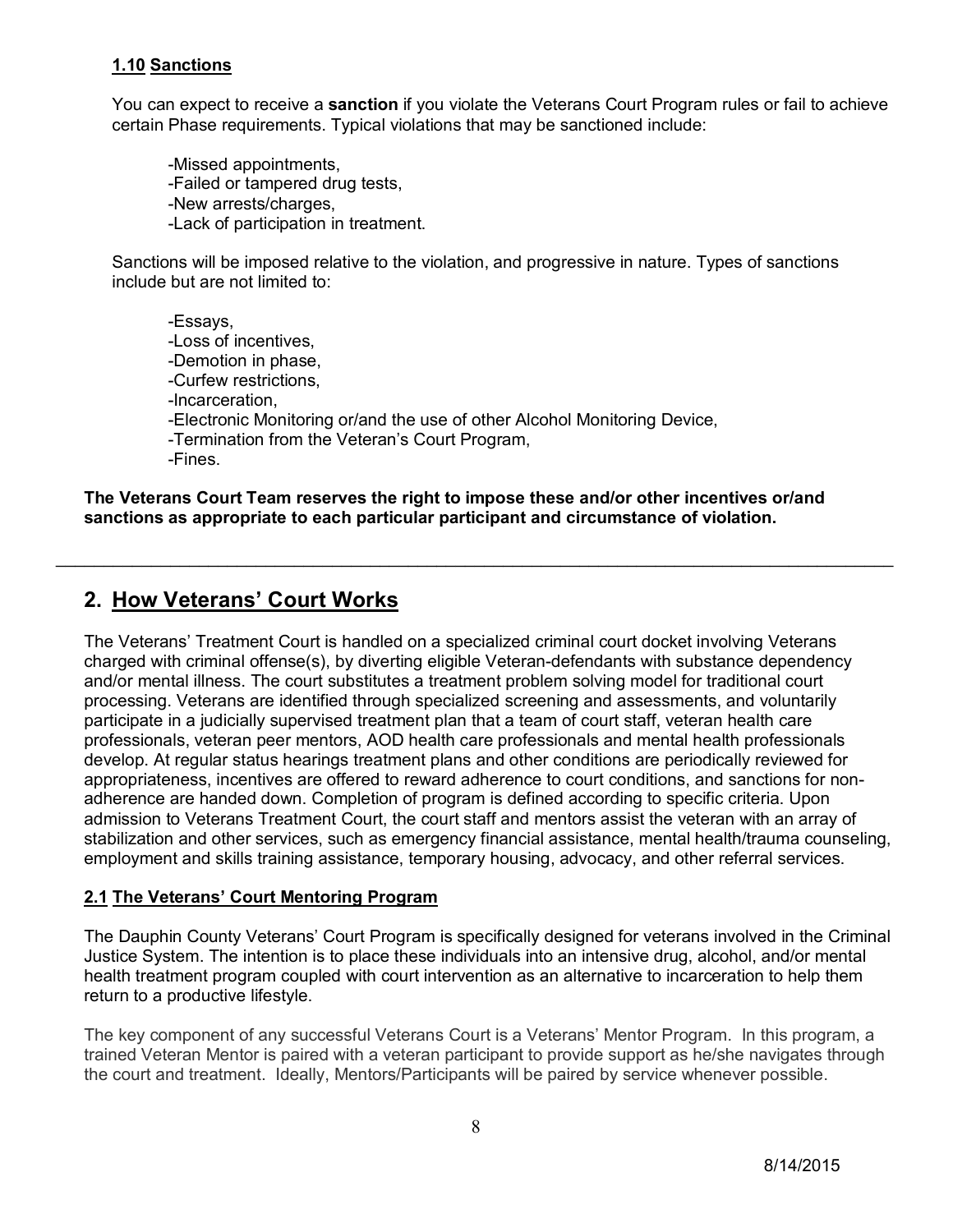### **1.10 Sanctions**

You can expect to receive a **sanction** if you violate the Veterans Court Program rules or fail to achieve certain Phase requirements. Typical violations that may be sanctioned include:

-Missed appointments, -Failed or tampered drug tests, -New arrests/charges, -Lack of participation in treatment.

Sanctions will be imposed relative to the violation, and progressive in nature. Types of sanctions include but are not limited to:

-Essays, -Loss of incentives, -Demotion in phase, -Curfew restrictions, -Incarceration, -Electronic Monitoring or/and the use of other Alcohol Monitoring Device, -Termination from the Veteran's Court Program, -Fines.

**The Veterans Court Team reserves the right to impose these and/or other incentives or/and sanctions as appropriate to each particular participant and circumstance of violation.**

\_\_\_\_\_\_\_\_\_\_\_\_\_\_\_\_\_\_\_\_\_\_\_\_\_\_\_\_\_\_\_\_\_\_\_\_\_\_\_\_\_\_\_\_\_\_\_\_\_\_\_\_\_\_\_\_\_\_\_\_\_\_\_\_\_\_\_\_\_\_\_\_\_\_\_\_\_\_\_\_\_\_\_\_\_\_\_\_

## **2. How Veterans' Court Works**

The Veterans' Treatment Court is handled on a specialized criminal court docket involving Veterans charged with criminal offense(s), by diverting eligible Veteran-defendants with substance dependency and/or mental illness. The court substitutes a treatment problem solving model for traditional court processing. Veterans are identified through specialized screening and assessments, and voluntarily participate in a judicially supervised treatment plan that a team of court staff, veteran health care professionals, veteran peer mentors, AOD health care professionals and mental health professionals develop. At regular status hearings treatment plans and other conditions are periodically reviewed for appropriateness, incentives are offered to reward adherence to court conditions, and sanctions for nonadherence are handed down. Completion of program is defined according to specific criteria. Upon admission to Veterans Treatment Court, the court staff and mentors assist the veteran with an array of stabilization and other services, such as emergency financial assistance, mental health/trauma counseling, employment and skills training assistance, temporary housing, advocacy, and other referral services.

#### **2.1 The Veterans' Court Mentoring Program**

The Dauphin County Veterans' Court Program is specifically designed for veterans involved in the Criminal Justice System. The intention is to place these individuals into an intensive drug, alcohol, and/or mental health treatment program coupled with court intervention as an alternative to incarceration to help them return to a productive lifestyle.

The key component of any successful Veterans Court is a Veterans' Mentor Program. In this program, a trained Veteran Mentor is paired with a veteran participant to provide support as he/she navigates through the court and treatment. Ideally, Mentors/Participants will be paired by service whenever possible.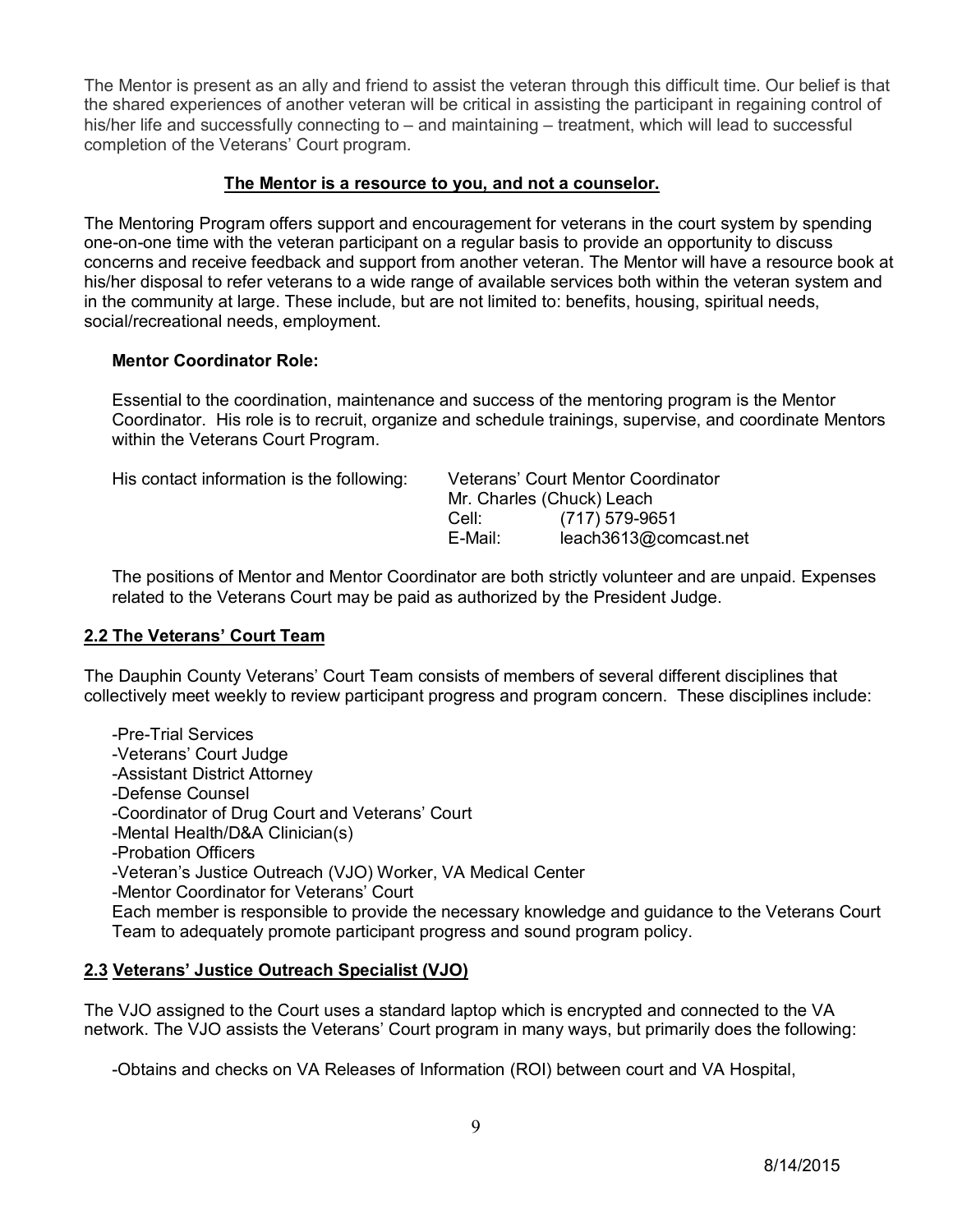The Mentor is present as an ally and friend to assist the veteran through this difficult time. Our belief is that the shared experiences of another veteran will be critical in assisting the participant in regaining control of his/her life and successfully connecting to – and maintaining – treatment, which will lead to successful completion of the Veterans' Court program.

#### **The Mentor is a resource to you, and not a counselor.**

The Mentoring Program offers support and encouragement for veterans in the court system by spending one-on-one time with the veteran participant on a regular basis to provide an opportunity to discuss concerns and receive feedback and support from another veteran. The Mentor will have a resource book at his/her disposal to refer veterans to a wide range of available services both within the veteran system and in the community at large. These include, but are not limited to: benefits, housing, spiritual needs, social/recreational needs, employment.

#### **Mentor Coordinator Role:**

Essential to the coordination, maintenance and success of the mentoring program is the Mentor Coordinator. His role is to recruit, organize and schedule trainings, supervise, and coordinate Mentors within the Veterans Court Program.

| His contact information is the following:<br>Veterans' Court Mentor Coordinator<br>Mr. Charles (Chuck) Leach |                       |
|--------------------------------------------------------------------------------------------------------------|-----------------------|
|                                                                                                              |                       |
| E-Mail:                                                                                                      | leach3613@comcast.net |
|                                                                                                              |                       |

The positions of Mentor and Mentor Coordinator are both strictly volunteer and are unpaid. Expenses related to the Veterans Court may be paid as authorized by the President Judge.

#### **2.2 The Veterans' Court Team**

The Dauphin County Veterans' Court Team consists of members of several different disciplines that collectively meet weekly to review participant progress and program concern. These disciplines include:

-Pre-Trial Services -Veterans' Court Judge -Assistant District Attorney -Defense Counsel -Coordinator of Drug Court and Veterans' Court -Mental Health/D&A Clinician(s) -Probation Officers -Veteran's Justice Outreach (VJO) Worker, VA Medical Center -Mentor Coordinator for Veterans' Court Each member is responsible to provide the necessary knowledge and guidance to the Veterans Court Team to adequately promote participant progress and sound program policy.

#### **2.3 Veterans' Justice Outreach Specialist (VJO)**

The VJO assigned to the Court uses a standard laptop which is encrypted and connected to the VA network. The VJO assists the Veterans' Court program in many ways, but primarily does the following:

-Obtains and checks on VA Releases of Information (ROI) between court and VA Hospital,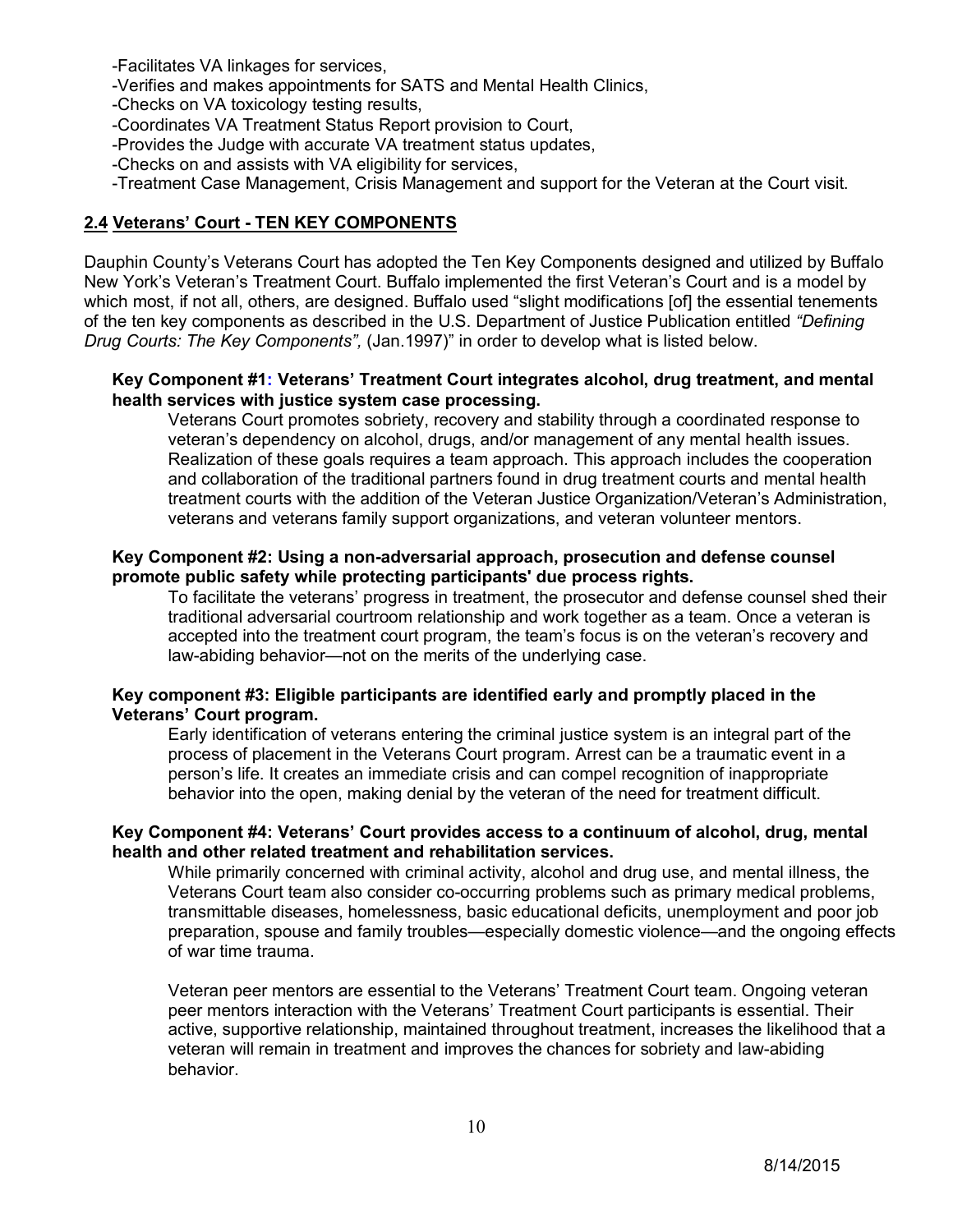-Facilitates VA linkages for services,

-Verifies and makes appointments for SATS and Mental Health Clinics,

-Checks on VA toxicology testing results,

-Coordinates VA Treatment Status Report provision to Court,

-Provides the Judge with accurate VA treatment status updates,

-Checks on and assists with VA eligibility for services,

-Treatment Case Management, Crisis Management and support for the Veteran at the Court visit.

#### **2.4 Veterans' Court - TEN KEY COMPONENTS**

Dauphin County's Veterans Court has adopted the Ten Key Components designed and utilized by Buffalo New York's Veteran's Treatment Court. Buffalo implemented the first Veteran's Court and is a model by which most, if not all, others, are designed. Buffalo used "slight modifications [of] the essential tenements of the ten key components as described in the U.S. Department of Justice Publication entitled *"Defining Drug Courts: The Key Components",* (Jan.1997)" in order to develop what is listed below.

#### **Key Component #1: Veterans' Treatment Court integrates alcohol, drug treatment, and mental health services with justice system case processing.**

Veterans Court promotes sobriety, recovery and stability through a coordinated response to veteran's dependency on alcohol, drugs, and/or management of any mental health issues. Realization of these goals requires a team approach. This approach includes the cooperation and collaboration of the traditional partners found in drug treatment courts and mental health treatment courts with the addition of the Veteran Justice Organization/Veteran's Administration, veterans and veterans family support organizations, and veteran volunteer mentors.

#### **Key Component #2: Using a non-adversarial approach, prosecution and defense counsel promote public safety while protecting participants' due process rights.**

To facilitate the veterans' progress in treatment, the prosecutor and defense counsel shed their traditional adversarial courtroom relationship and work together as a team. Once a veteran is accepted into the treatment court program, the team's focus is on the veteran's recovery and law-abiding behavior—not on the merits of the underlying case.

#### **Key component #3: Eligible participants are identified early and promptly placed in the Veterans' Court program.**

Early identification of veterans entering the criminal justice system is an integral part of the process of placement in the Veterans Court program. Arrest can be a traumatic event in a person's life. It creates an immediate crisis and can compel recognition of inappropriate behavior into the open, making denial by the veteran of the need for treatment difficult.

#### **Key Component #4: Veterans' Court provides access to a continuum of alcohol, drug, mental health and other related treatment and rehabilitation services.**

While primarily concerned with criminal activity, alcohol and drug use, and mental illness, the Veterans Court team also consider co-occurring problems such as primary medical problems, transmittable diseases, homelessness, basic educational deficits, unemployment and poor job preparation, spouse and family troubles—especially domestic violence—and the ongoing effects of war time trauma.

Veteran peer mentors are essential to the Veterans' Treatment Court team. Ongoing veteran peer mentors interaction with the Veterans' Treatment Court participants is essential. Their active, supportive relationship, maintained throughout treatment, increases the likelihood that a veteran will remain in treatment and improves the chances for sobriety and law-abiding behavior.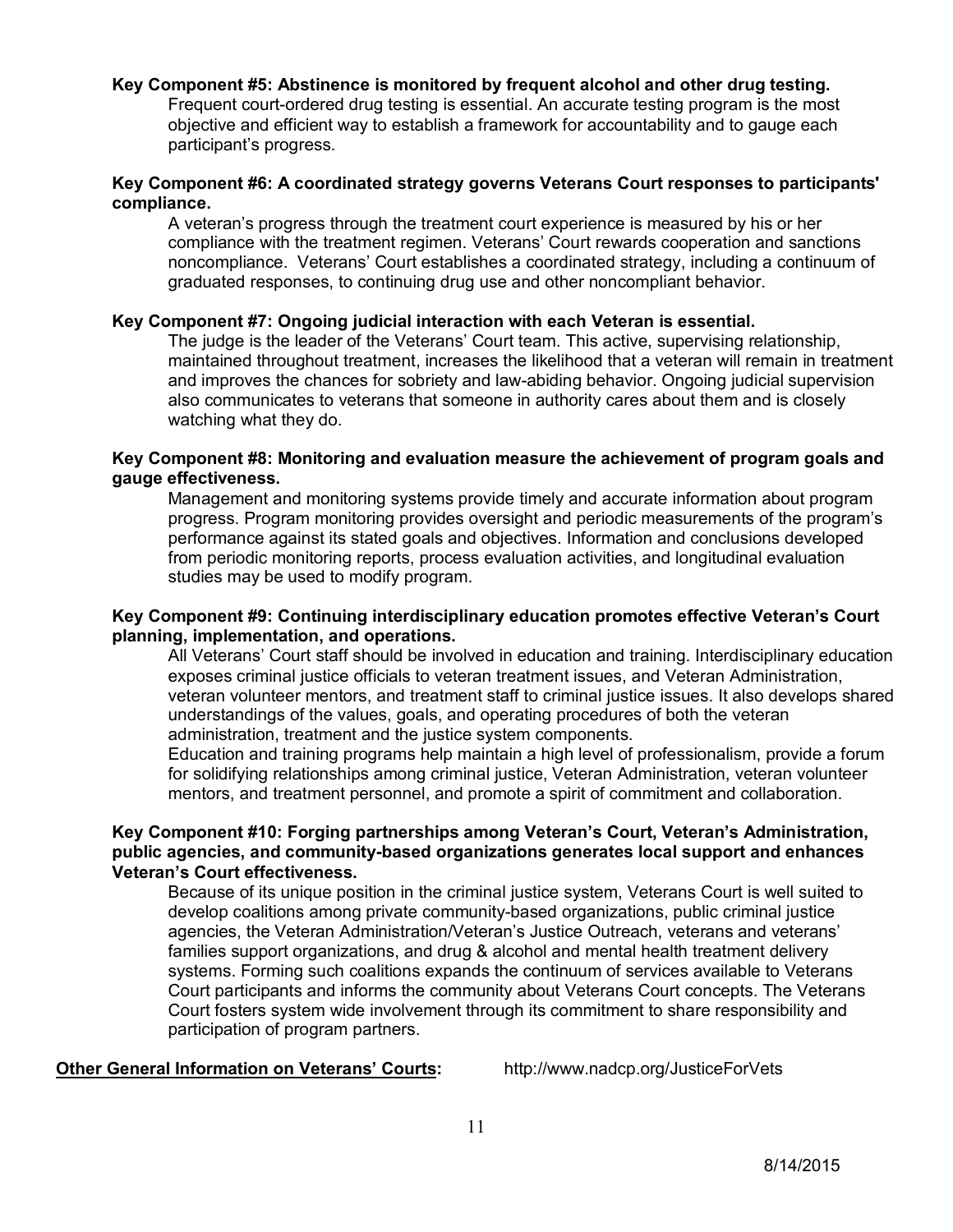#### **Key Component #5: Abstinence is monitored by frequent alcohol and other drug testing.**

Frequent court-ordered drug testing is essential. An accurate testing program is the most objective and efficient way to establish a framework for accountability and to gauge each participant's progress.

#### **Key Component #6: A coordinated strategy governs Veterans Court responses to participants' compliance.**

A veteran's progress through the treatment court experience is measured by his or her compliance with the treatment regimen. Veterans' Court rewards cooperation and sanctions noncompliance. Veterans' Court establishes a coordinated strategy, including a continuum of graduated responses, to continuing drug use and other noncompliant behavior.

#### **Key Component #7: Ongoing judicial interaction with each Veteran is essential.**

The judge is the leader of the Veterans' Court team. This active, supervising relationship, maintained throughout treatment, increases the likelihood that a veteran will remain in treatment and improves the chances for sobriety and law-abiding behavior. Ongoing judicial supervision also communicates to veterans that someone in authority cares about them and is closely watching what they do.

#### **Key Component #8: Monitoring and evaluation measure the achievement of program goals and gauge effectiveness.**

Management and monitoring systems provide timely and accurate information about program progress. Program monitoring provides oversight and periodic measurements of the program's performance against its stated goals and objectives. Information and conclusions developed from periodic monitoring reports, process evaluation activities, and longitudinal evaluation studies may be used to modify program.

#### **Key Component #9: Continuing interdisciplinary education promotes effective Veteran's Court planning, implementation, and operations.**

All Veterans' Court staff should be involved in education and training. Interdisciplinary education exposes criminal justice officials to veteran treatment issues, and Veteran Administration, veteran volunteer mentors, and treatment staff to criminal justice issues. It also develops shared understandings of the values, goals, and operating procedures of both the veteran administration, treatment and the justice system components.

Education and training programs help maintain a high level of professionalism, provide a forum for solidifying relationships among criminal justice, Veteran Administration, veteran volunteer mentors, and treatment personnel, and promote a spirit of commitment and collaboration.

#### **Key Component #10: Forging partnerships among Veteran's Court, Veteran's Administration, public agencies, and community-based organizations generates local support and enhances Veteran's Court effectiveness.**

Because of its unique position in the criminal justice system, Veterans Court is well suited to develop coalitions among private community-based organizations, public criminal justice agencies, the Veteran Administration/Veteran's Justice Outreach, veterans and veterans' families support organizations, and drug & alcohol and mental health treatment delivery systems. Forming such coalitions expands the continuum of services available to Veterans Court participants and informs the community about Veterans Court concepts. The Veterans Court fosters system wide involvement through its commitment to share responsibility and participation of program partners.

#### **Other General Information on Veterans' Courts:** <http://www.nadcp.org/JusticeForVets>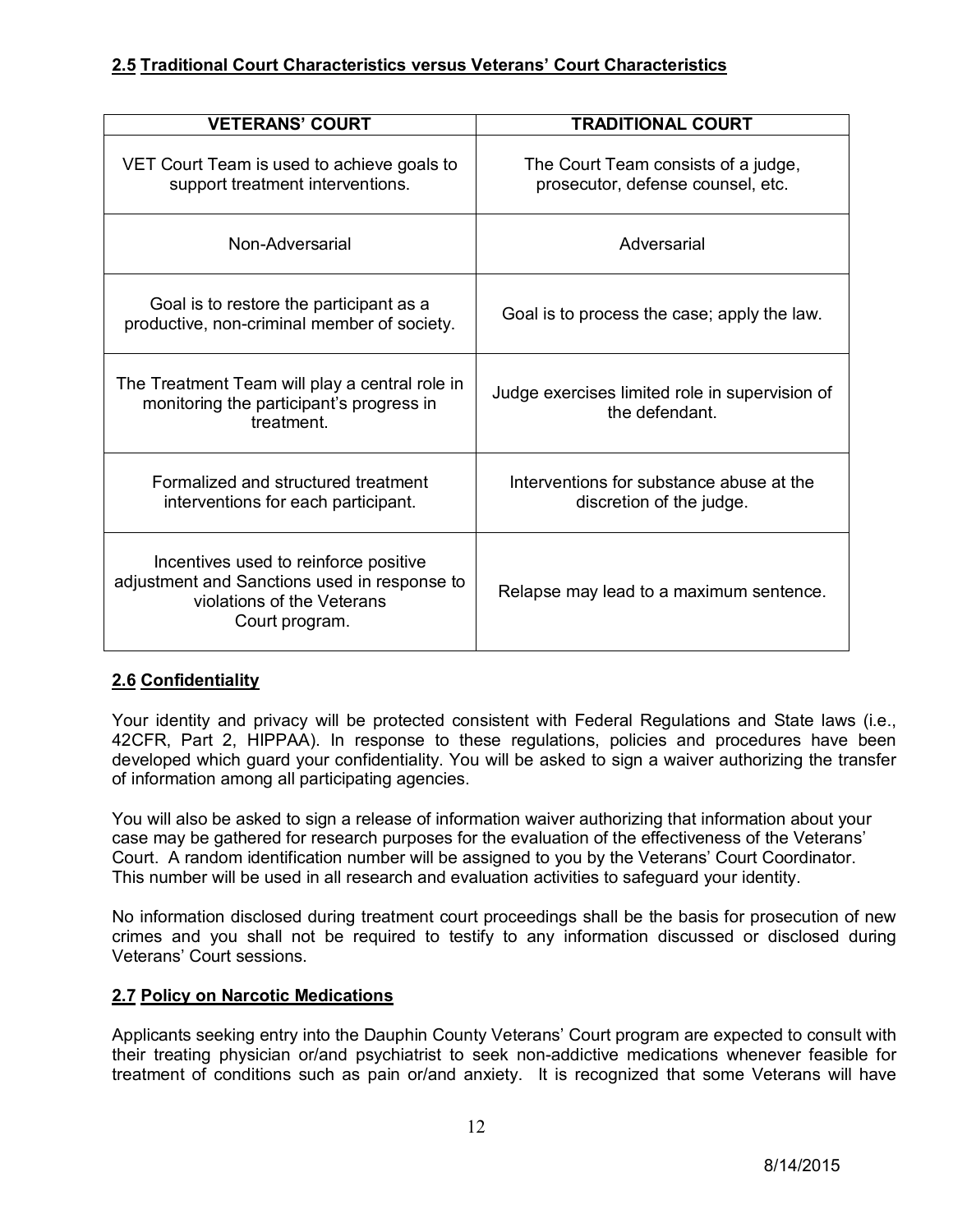## **2.5 Traditional Court Characteristics versus Veterans' Court Characteristics**

| <b>VETERANS' COURT</b>                                                                                                                | <b>TRADITIONAL COURT</b>                                                 |  |
|---------------------------------------------------------------------------------------------------------------------------------------|--------------------------------------------------------------------------|--|
| VET Court Team is used to achieve goals to<br>support treatment interventions.                                                        | The Court Team consists of a judge,<br>prosecutor, defense counsel, etc. |  |
| Non-Adversarial                                                                                                                       | Adversarial                                                              |  |
| Goal is to restore the participant as a<br>productive, non-criminal member of society.                                                | Goal is to process the case; apply the law.                              |  |
| The Treatment Team will play a central role in<br>monitoring the participant's progress in<br>treatment.                              | Judge exercises limited role in supervision of<br>the defendant.         |  |
| Formalized and structured treatment<br>interventions for each participant.                                                            | Interventions for substance abuse at the<br>discretion of the judge.     |  |
| Incentives used to reinforce positive<br>adjustment and Sanctions used in response to<br>violations of the Veterans<br>Court program. | Relapse may lead to a maximum sentence.                                  |  |

## **2.6 Confidentiality**

Your identity and privacy will be protected consistent with Federal Regulations and State laws (i.e., 42CFR, Part 2, HIPPAA). In response to these regulations, policies and procedures have been developed which guard your confidentiality. You will be asked to sign a waiver authorizing the transfer of information among all participating agencies.

You will also be asked to sign a release of information waiver authorizing that information about your case may be gathered for research purposes for the evaluation of the effectiveness of the Veterans' Court. A random identification number will be assigned to you by the Veterans' Court Coordinator. This number will be used in all research and evaluation activities to safeguard your identity.

No information disclosed during treatment court proceedings shall be the basis for prosecution of new crimes and you shall not be required to testify to any information discussed or disclosed during Veterans' Court sessions.

## **2.7 Policy on Narcotic Medications**

Applicants seeking entry into the Dauphin County Veterans' Court program are expected to consult with their treating physician or/and psychiatrist to seek non-addictive medications whenever feasible for treatment of conditions such as pain or/and anxiety. It is recognized that some Veterans will have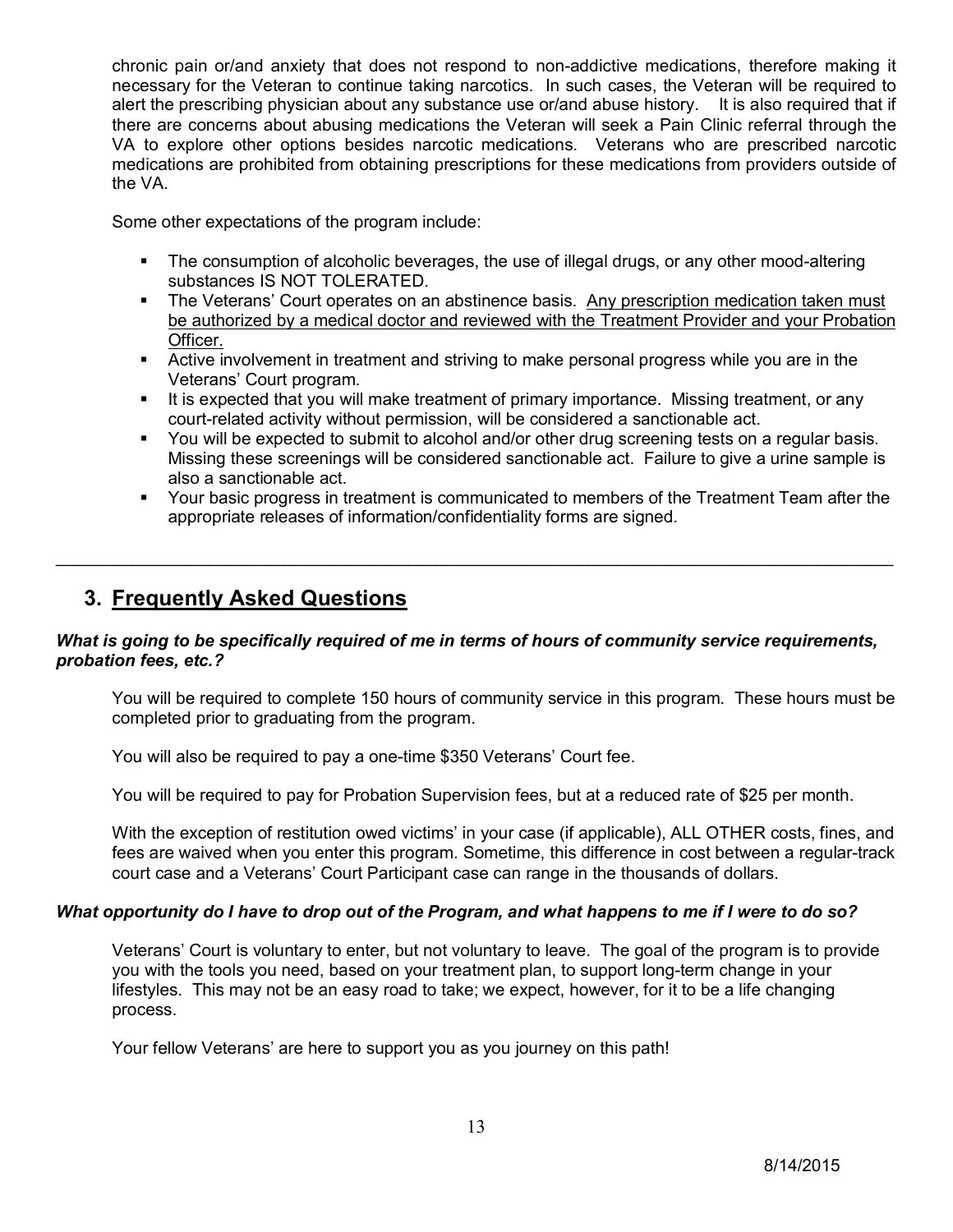chronic pain or/and anxiety that does not respond to non-addictive medications, therefore making it necessary for the Veteran to continue taking narcotics. In such cases, the Veteran will be required to alert the prescribing physician about any substance use or/and abuse history. It is also required that if there are concerns about abusing medications the Veteran will seek a Pain Clinic referral through the VA to explore other options besides narcotic medications. Veterans who are prescribed narcotic medications are prohibited from obtaining prescriptions for these medications from providers outside of the VA.

Some other expectations of the program include:

- The consumption of alcoholic beverages, the use of illegal drugs, or any other mood-altering substances IS NOT TOLERATED.
- The Veterans' Court operates on an abstinence basis. Any prescription medication taken must be authorized by a medical doctor and reviewed with the Treatment Provider and your Probation Officer.
- Active involvement in treatment and striving to make personal progress while you are in the Veterans' Court program.
- It is expected that you will make treatment of primary importance. Missing treatment, or any court-related activity without permission, will be considered a sanctionable act.
- You will be expected to submit to alcohol and/or other drug screening tests on a regular basis. Missing these screenings will be considered sanctionable act. Failure to give a urine sample is also a sanctionable act.
- Your basic progress in treatment is communicated to members of the Treatment Team after the appropriate releases of information/confidentiality forms are signed.

## **3. Frequently Asked Questions**

#### *What is going to be specifically required of me in terms of hours of community service requirements, probation fees, etc.?*

\_\_\_\_\_\_\_\_\_\_\_\_\_\_\_\_\_\_\_\_\_\_\_\_\_\_\_\_\_\_\_\_\_\_\_\_\_\_\_\_\_\_\_\_\_\_\_\_\_\_\_\_\_\_\_\_\_\_\_\_\_\_\_\_\_\_\_\_\_\_\_\_\_\_\_\_\_\_\_\_\_\_\_\_\_\_\_\_

You will be required to complete 150 hours of community service in this program. These hours must be completed prior to graduating from the program.

You will also be required to pay a one-time \$350 Veterans' Court fee.

You will be required to pay for Probation Supervision fees, but at a reduced rate of \$25 per month.

With the exception of restitution owed victims' in your case (if applicable), ALL OTHER costs, fines, and fees are waived when you enter this program. Sometime, this difference in cost between a regular-track court case and a Veterans' Court Participant case can range in the thousands of dollars.

#### *What opportunity do I have to drop out of the Program, and what happens to me if I were to do so?*

Veterans' Court is voluntary to enter, but not voluntary to leave. The goal of the program is to provide you with the tools you need, based on your treatment plan, to support long-term change in your lifestyles. This may not be an easy road to take; we expect, however, for it to be a life changing process.

Your fellow Veterans' are here to support you as you journey on this path!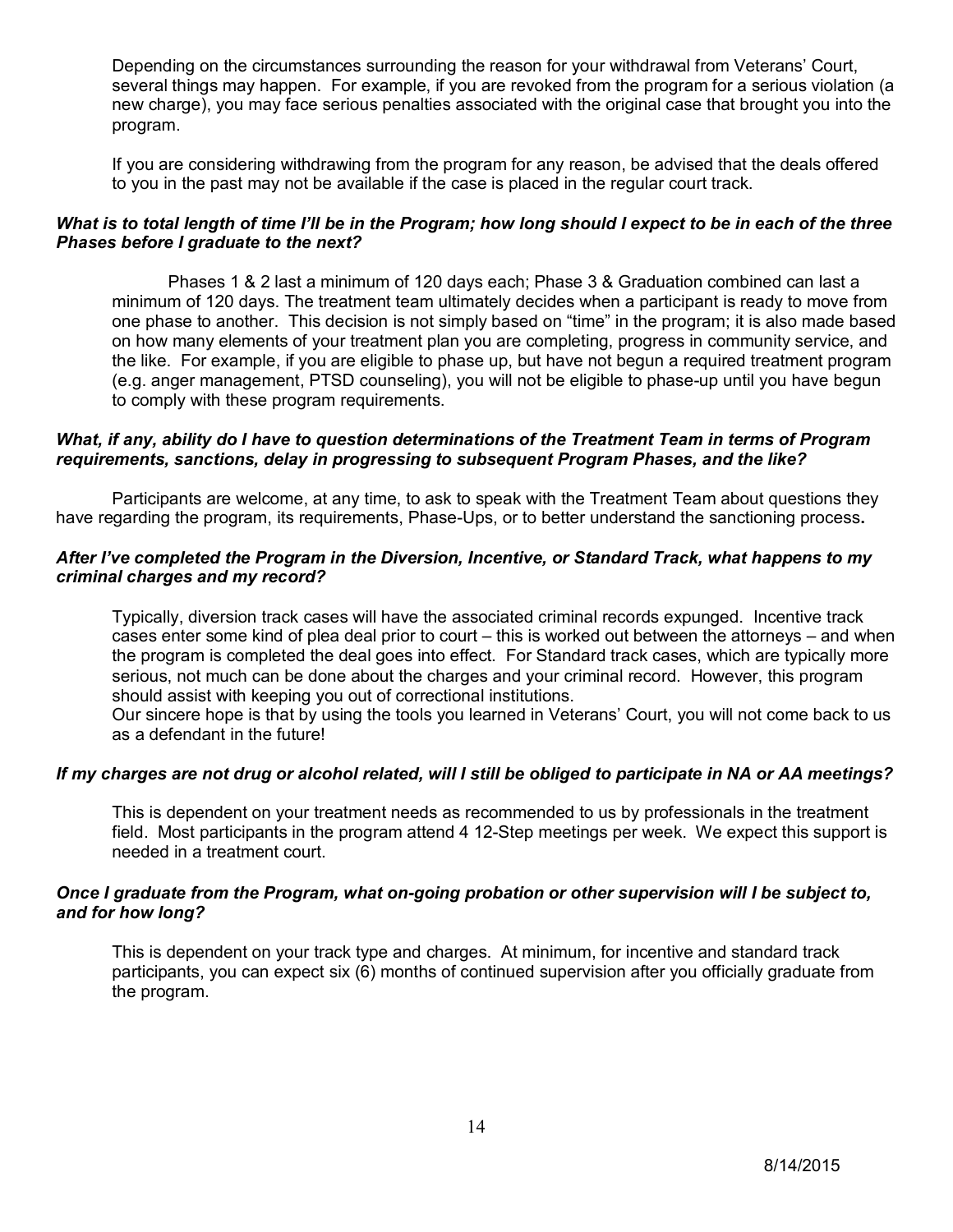Depending on the circumstances surrounding the reason for your withdrawal from Veterans' Court, several things may happen. For example, if you are revoked from the program for a serious violation (a new charge), you may face serious penalties associated with the original case that brought you into the program.

If you are considering withdrawing from the program for any reason, be advised that the deals offered to you in the past may not be available if the case is placed in the regular court track.

#### *What is to total length of time I'll be in the Program; how long should I expect to be in each of the three Phases before I graduate to the next?*

Phases 1 & 2 last a minimum of 120 days each; Phase 3 & Graduation combined can last a minimum of 120 days. The treatment team ultimately decides when a participant is ready to move from one phase to another. This decision is not simply based on "time" in the program; it is also made based on how many elements of your treatment plan you are completing, progress in community service, and the like. For example, if you are eligible to phase up, but have not begun a required treatment program (e.g. anger management, PTSD counseling), you will not be eligible to phase-up until you have begun to comply with these program requirements.

#### *What, if any, ability do I have to question determinations of the Treatment Team in terms of Program requirements, sanctions, delay in progressing to subsequent Program Phases, and the like?*

Participants are welcome, at any time, to ask to speak with the Treatment Team about questions they have regarding the program, its requirements, Phase-Ups, or to better understand the sanctioning process**.** 

#### *After I've completed the Program in the Diversion, Incentive, or Standard Track, what happens to my criminal charges and my record?*

Typically, diversion track cases will have the associated criminal records expunged. Incentive track cases enter some kind of plea deal prior to court – this is worked out between the attorneys – and when the program is completed the deal goes into effect. For Standard track cases, which are typically more serious, not much can be done about the charges and your criminal record. However, this program should assist with keeping you out of correctional institutions.

Our sincere hope is that by using the tools you learned in Veterans' Court, you will not come back to us as a defendant in the future!

#### *If my charges are not drug or alcohol related, will I still be obliged to participate in NA or AA meetings?*

This is dependent on your treatment needs as recommended to us by professionals in the treatment field. Most participants in the program attend 4 12-Step meetings per week. We expect this support is needed in a treatment court.

#### *Once I graduate from the Program, what on-going probation or other supervision will I be subject to, and for how long?*

This is dependent on your track type and charges. At minimum, for incentive and standard track participants, you can expect six (6) months of continued supervision after you officially graduate from the program.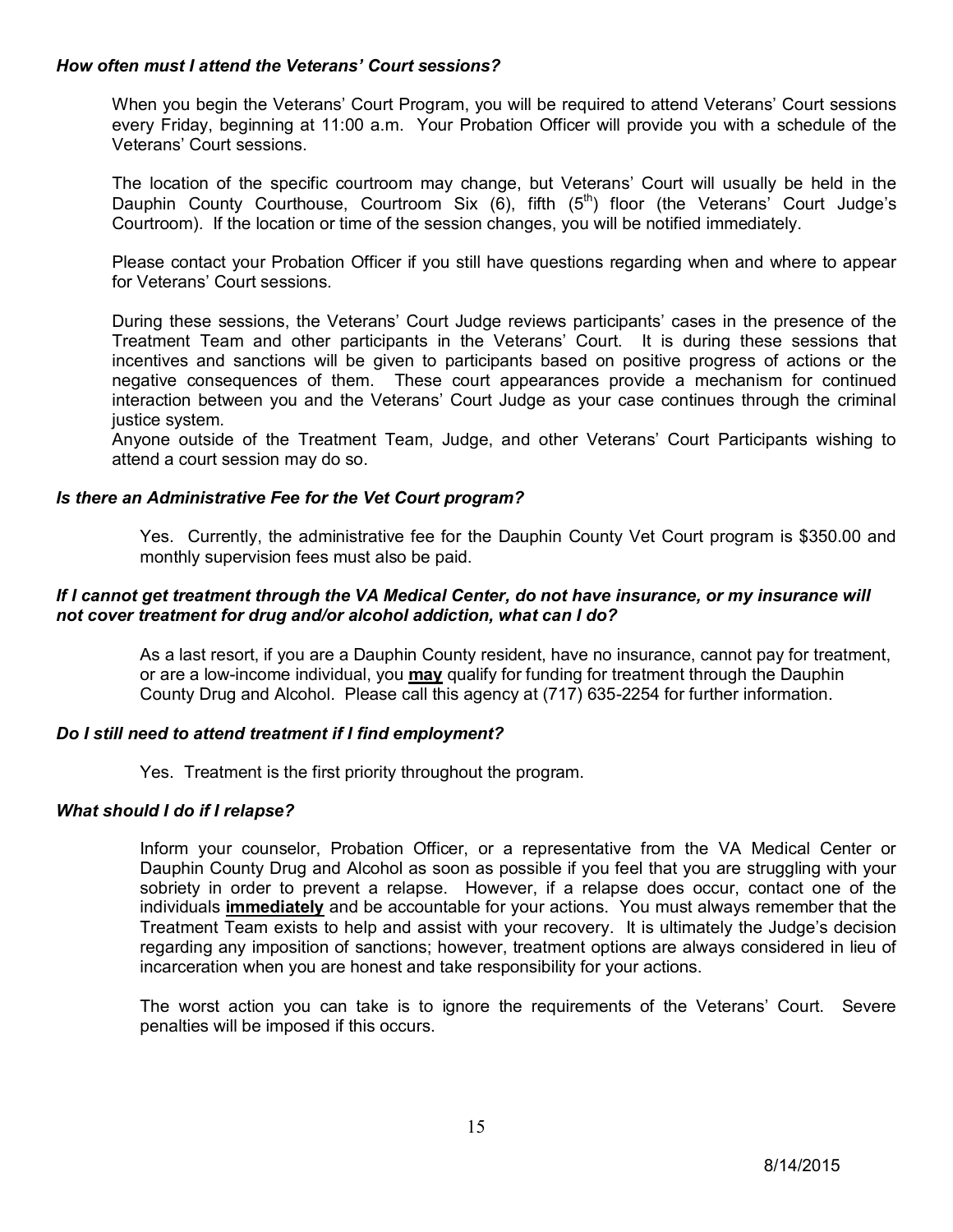#### *How often must I attend the Veterans' Court sessions?*

When you begin the Veterans' Court Program, you will be required to attend Veterans' Court sessions every Friday, beginning at 11:00 a.m. Your Probation Officer will provide you with a schedule of the Veterans' Court sessions.

The location of the specific courtroom may change, but Veterans' Court will usually be held in the Dauphin County Courthouse, Courtroom Six  $(6)$ , fifth  $(5<sup>th</sup>)$  floor (the Veterans' Court Judge's Courtroom). If the location or time of the session changes, you will be notified immediately.

Please contact your Probation Officer if you still have questions regarding when and where to appear for Veterans' Court sessions.

During these sessions, the Veterans' Court Judge reviews participants' cases in the presence of the Treatment Team and other participants in the Veterans' Court. It is during these sessions that incentives and sanctions will be given to participants based on positive progress of actions or the negative consequences of them. These court appearances provide a mechanism for continued interaction between you and the Veterans' Court Judge as your case continues through the criminal justice system.

Anyone outside of the Treatment Team, Judge, and other Veterans' Court Participants wishing to attend a court session may do so.

#### *Is there an Administrative Fee for the Vet Court program?*

Yes. Currently, the administrative fee for the Dauphin County Vet Court program is \$350.00 and monthly supervision fees must also be paid.

#### *If I cannot get treatment through the VA Medical Center, do not have insurance, or my insurance will not cover treatment for drug and/or alcohol addiction, what can I do?*

As a last resort, if you are a Dauphin County resident, have no insurance, cannot pay for treatment, or are a low-income individual, you **may** qualify for funding for treatment through the Dauphin County Drug and Alcohol. Please call this agency at (717) 635-2254 for further information.

#### *Do I still need to attend treatment if I find employment?*

Yes. Treatment is the first priority throughout the program.

#### *What should I do if I relapse?*

Inform your counselor, Probation Officer, or a representative from the VA Medical Center or Dauphin County Drug and Alcohol as soon as possible if you feel that you are struggling with your sobriety in order to prevent a relapse. However, if a relapse does occur, contact one of the individuals **immediately** and be accountable for your actions. You must always remember that the Treatment Team exists to help and assist with your recovery. It is ultimately the Judge's decision regarding any imposition of sanctions; however, treatment options are always considered in lieu of incarceration when you are honest and take responsibility for your actions.

The worst action you can take is to ignore the requirements of the Veterans' Court. Severe penalties will be imposed if this occurs.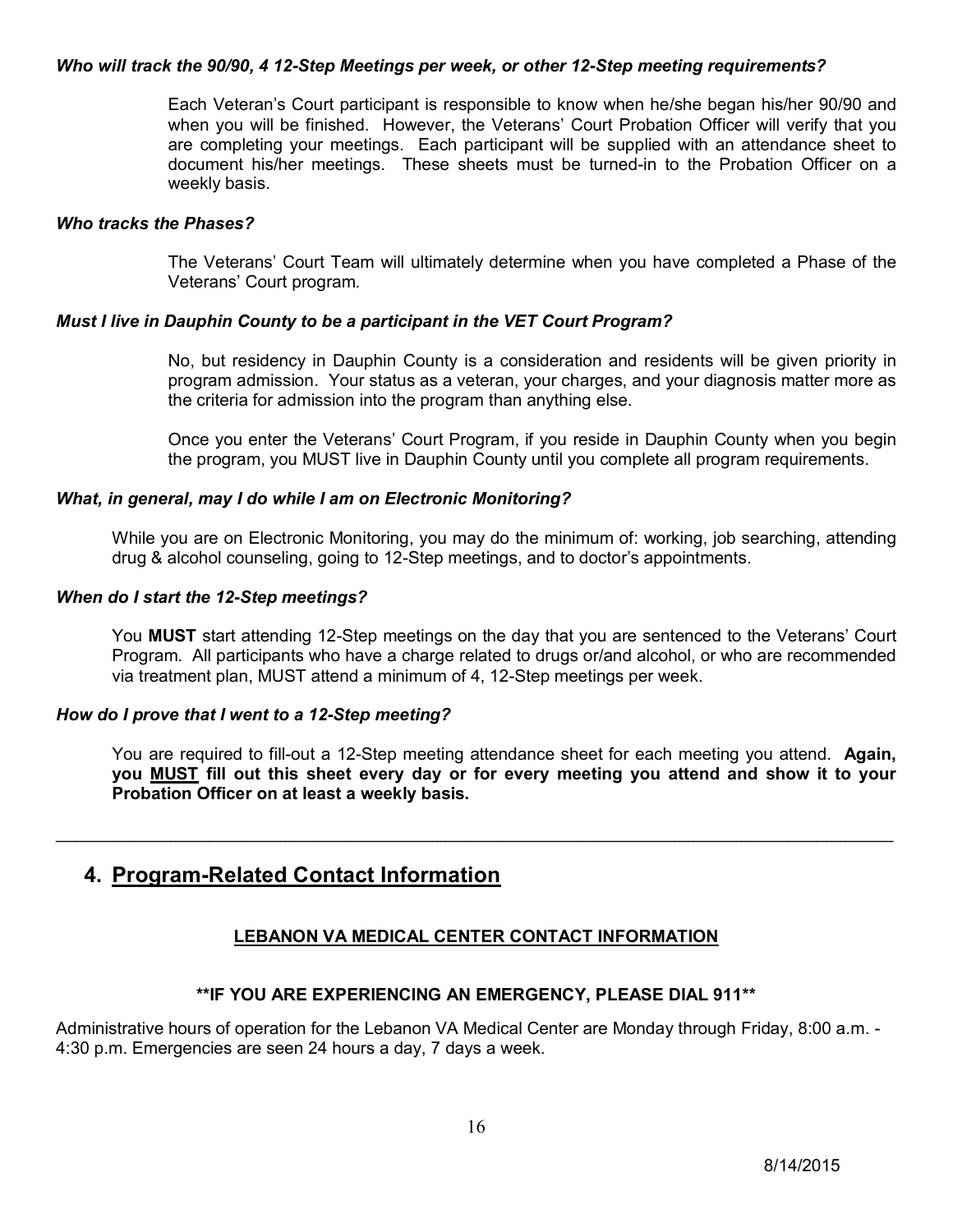#### *Who will track the 90/90, 4 12-Step Meetings per week, or other 12-Step meeting requirements?*

Each Veteran's Court participant is responsible to know when he/she began his/her 90/90 and when you will be finished. However, the Veterans' Court Probation Officer will verify that you are completing your meetings. Each participant will be supplied with an attendance sheet to document his/her meetings. These sheets must be turned-in to the Probation Officer on a weekly basis.

#### *Who tracks the Phases?*

The Veterans' Court Team will ultimately determine when you have completed a Phase of the Veterans' Court program.

#### *Must I live in Dauphin County to be a participant in the VET Court Program?*

No, but residency in Dauphin County is a consideration and residents will be given priority in program admission. Your status as a veteran, your charges, and your diagnosis matter more as the criteria for admission into the program than anything else.

Once you enter the Veterans' Court Program, if you reside in Dauphin County when you begin the program, you MUST live in Dauphin County until you complete all program requirements.

#### *What, in general, may I do while I am on Electronic Monitoring?*

While you are on Electronic Monitoring, you may do the minimum of: working, job searching, attending drug & alcohol counseling, going to 12-Step meetings, and to doctor's appointments.

#### *When do I start the 12-Step meetings?*

You **MUST** start attending 12-Step meetings on the day that you are sentenced to the Veterans' Court Program. All participants who have a charge related to drugs or/and alcohol, or who are recommended via treatment plan, MUST attend a minimum of 4, 12-Step meetings per week.

#### *How do I prove that I went to a 12-Step meeting?*

You are required to fill-out a 12-Step meeting attendance sheet for each meeting you attend. **Again, you MUST fill out this sheet every day or for every meeting you attend and show it to your Probation Officer on at least a weekly basis.** 

## **4. Program-Related Contact Information**

## **LEBANON VA MEDICAL CENTER CONTACT INFORMATION**

\_\_\_\_\_\_\_\_\_\_\_\_\_\_\_\_\_\_\_\_\_\_\_\_\_\_\_\_\_\_\_\_\_\_\_\_\_\_\_\_\_\_\_\_\_\_\_\_\_\_\_\_\_\_\_\_\_\_\_\_\_\_\_\_\_\_\_\_\_\_\_\_\_\_\_\_\_\_\_\_\_\_\_\_\_\_\_\_

#### **\*\*IF YOU ARE EXPERIENCING AN EMERGENCY, PLEASE DIAL 911\*\***

Administrative hours of operation for the Lebanon VA Medical Center are Monday through Friday, 8:00 a.m. - 4:30 p.m. Emergencies are seen 24 hours a day, 7 days a week.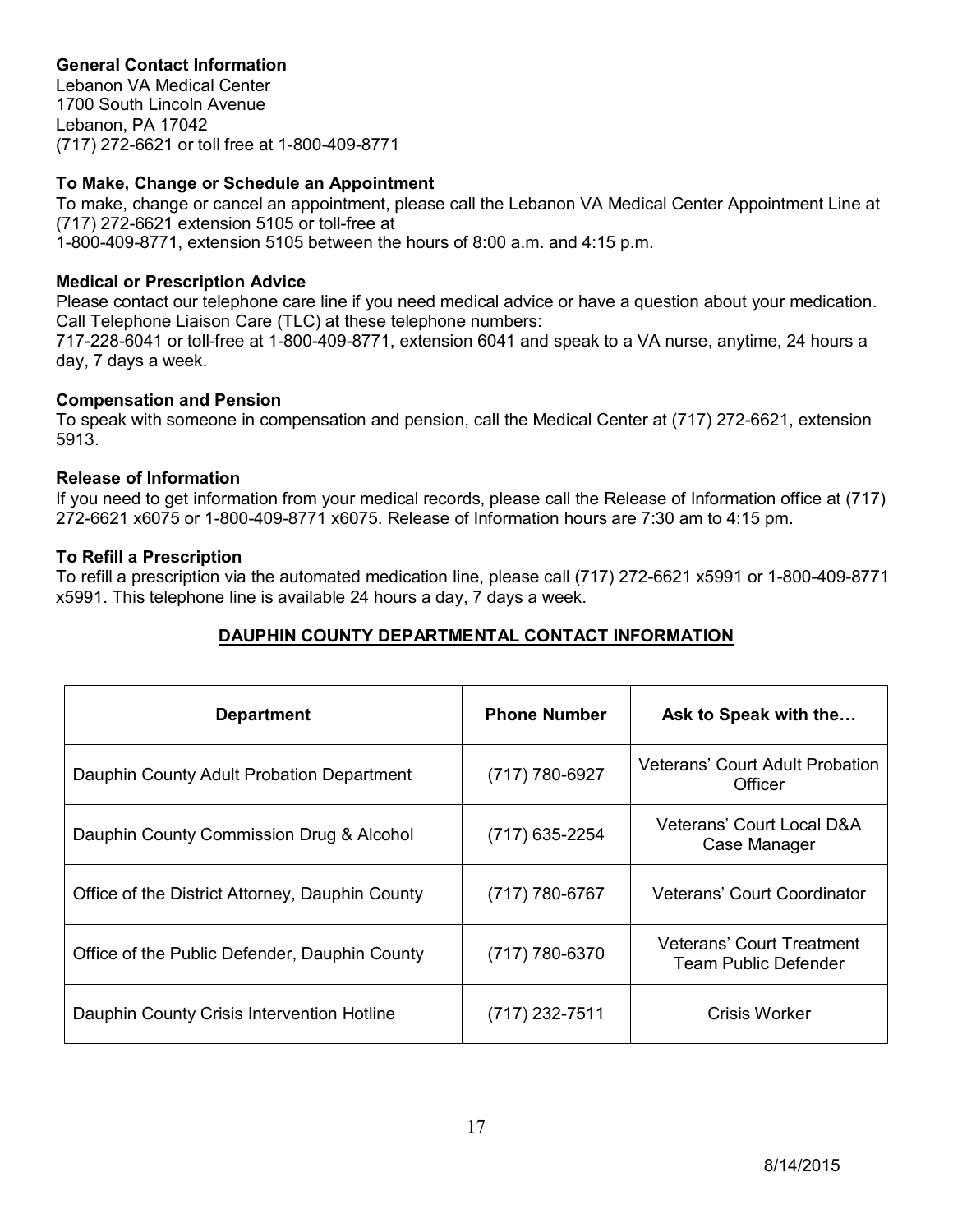## **General Contact Information**

Lebanon VA Medical Center 1700 South Lincoln Avenue Lebanon, PA 17042 (717) 272-6621 or toll free at 1-800-409-8771

#### **To Make, Change or Schedule an Appointment**

To make, change or cancel an appointment, please call the Lebanon VA Medical Center Appointment Line at (717) 272-6621 extension 5105 or toll-free at 1-800-409-8771, extension 5105 between the hours of 8:00 a.m. and 4:15 p.m.

#### **Medical or Prescription Advice**

Please contact our telephone care line if you need medical advice or have a question about your medication. Call Telephone Liaison Care (TLC) at these telephone numbers:

717-228-6041 or toll-free at 1-800-409-8771, extension 6041 and speak to a VA nurse, anytime, 24 hours a day, 7 days a week.

#### **Compensation and Pension**

To speak with someone in compensation and pension, call the Medical Center at (717) 272-6621, extension 5913.

#### **Release of Information**

If you need to get information from your medical records, please call the Release of Information office at (717) 272-6621 x6075 or 1-800-409-8771 x6075. Release of Information hours are 7:30 am to 4:15 pm.

#### **To Refill a Prescription**

To refill a prescription via the automated medication line, please call (717) 272-6621 x5991 or 1-800-409-8771 x5991. This telephone line is available 24 hours a day, 7 days a week.

## **DAUPHIN COUNTY DEPARTMENTAL CONTACT INFORMATION**

| <b>Department</b>                               | <b>Phone Number</b> | Ask to Speak with the                                    |
|-------------------------------------------------|---------------------|----------------------------------------------------------|
| Dauphin County Adult Probation Department       | (717) 780-6927      | Veterans' Court Adult Probation<br>Officer               |
| Dauphin County Commission Drug & Alcohol        | (717) 635-2254      | Veterans' Court Local D&A<br>Case Manager                |
| Office of the District Attorney, Dauphin County | $(717) 780 - 6767$  | Veterans' Court Coordinator                              |
| Office of the Public Defender, Dauphin County   | $(717) 780 - 6370$  | <b>Veterans' Court Treatment</b><br>Team Public Defender |
| Dauphin County Crisis Intervention Hotline      | $(717)$ 232-7511    | Crisis Worker                                            |